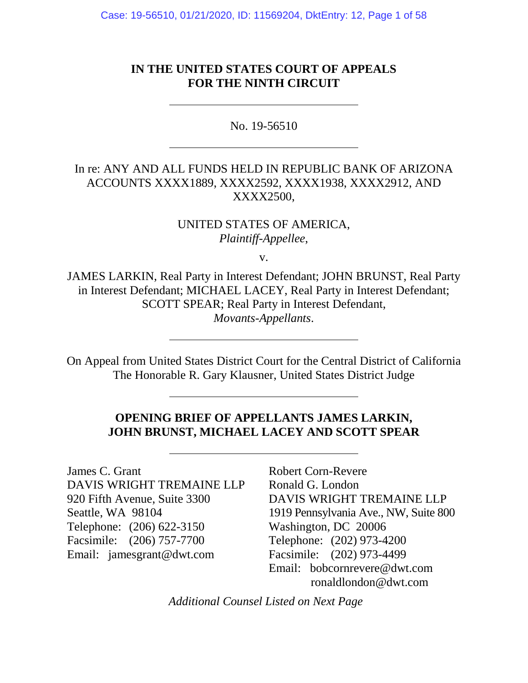Case: 19-56510, 01/21/2020, ID: 11569204, DktEntry: 12, Page 1 of 58

## **IN THE UNITED STATES COURT OF APPEALS FOR THE NINTH CIRCUIT**

No. 19-56510

# In re: ANY AND ALL FUNDS HELD IN REPUBLIC BANK OF ARIZONA ACCOUNTS XXXX1889, XXXX2592, XXXX1938, XXXX2912, AND XXXX2500,

UNITED STATES OF AMERICA, *Plaintiff-Appellee*,

v.

JAMES LARKIN, Real Party in Interest Defendant; JOHN BRUNST, Real Party in Interest Defendant; MICHAEL LACEY, Real Party in Interest Defendant; SCOTT SPEAR; Real Party in Interest Defendant, *Movants-Appellants*.

On Appeal from United States District Court for the Central District of California The Honorable R. Gary Klausner, United States District Judge

## **OPENING BRIEF OF APPELLANTS JAMES LARKIN, JOHN BRUNST, MICHAEL LACEY AND SCOTT SPEAR**

James C. Grant DAVIS WRIGHT TREMAINE LLP 920 Fifth Avenue, Suite 3300 Seattle, WA 98104 Telephone: (206) 622-3150 Facsimile: (206) 757-7700 Email: jamesgrant@dwt.com

Robert Corn-Revere Ronald G. London DAVIS WRIGHT TREMAINE LLP 1919 Pennsylvania Ave., NW, Suite 800 Washington, DC 20006 Telephone: (202) 973-4200 Facsimile: (202) 973-4499 Email: bobcornrevere@dwt.com ronaldlondon@dwt.com

*Additional Counsel Listed on Next Page*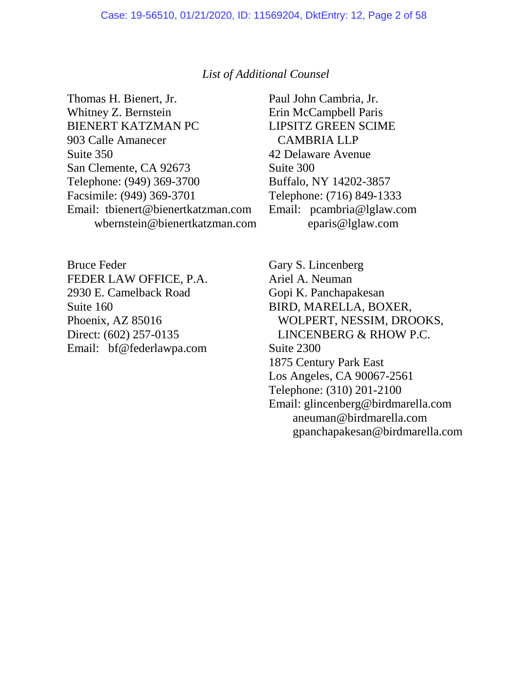#### *List of Additional Counsel*

Thomas H. Bienert, Jr. Whitney Z. Bernstein BIENERT KATZMAN PC 903 Calle Amanecer Suite 350 San Clemente, CA 92673 Telephone: (949) 369-3700 Facsimile: (949) 369-3701 Email: tbienert@bienertkatzman.com wbernstein@bienertkatzman.com

Bruce Feder FEDER LAW OFFICE, P.A. 2930 E. Camelback Road Suite 160 Phoenix, AZ 85016 Direct: (602) 257-0135 Email: bf@federlawpa.com Paul John Cambria, Jr. Erin McCampbell Paris LIPSITZ GREEN SCIME CAMBRIA LLP 42 Delaware Avenue Suite 300 Buffalo, NY 14202-3857 Telephone: (716) 849-1333 Email: pcambria@lglaw.com eparis@lglaw.com

Gary S. Lincenberg Ariel A. Neuman Gopi K. Panchapakesan BIRD, MARELLA, BOXER, WOLPERT, NESSIM, DROOKS, LINCENBERG & RHOW P.C. Suite 2300 1875 Century Park East Los Angeles, CA 90067-2561 Telephone: (310) 201-2100 Email: glincenberg@birdmarella.com aneuman@birdmarella.com gpanchapakesan@birdmarella.com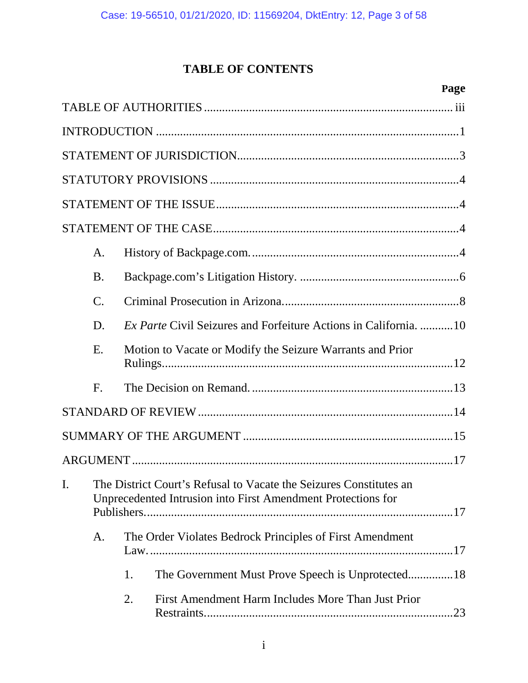# **TABLE OF CONTENTS**

|    |                 | Page                                                                                                                               |
|----|-----------------|------------------------------------------------------------------------------------------------------------------------------------|
|    |                 |                                                                                                                                    |
|    |                 |                                                                                                                                    |
|    |                 |                                                                                                                                    |
|    |                 |                                                                                                                                    |
|    |                 |                                                                                                                                    |
|    |                 |                                                                                                                                    |
|    | A.              |                                                                                                                                    |
|    | <b>B.</b>       |                                                                                                                                    |
|    | $\mathcal{C}$ . |                                                                                                                                    |
|    | D.              | <i>Ex Parte</i> Civil Seizures and Forfeiture Actions in California. 10                                                            |
|    | E.              | Motion to Vacate or Modify the Seizure Warrants and Prior                                                                          |
|    | $F_{\cdot}$     |                                                                                                                                    |
|    |                 |                                                                                                                                    |
|    |                 |                                                                                                                                    |
|    |                 |                                                                                                                                    |
| I. |                 | The District Court's Refusal to Vacate the Seizures Constitutes an<br>Unprecedented Intrusion into First Amendment Protections for |
|    | A.              | The Order Violates Bedrock Principles of First Amendment                                                                           |
|    |                 | 1.                                                                                                                                 |
|    |                 | 2.<br>First Amendment Harm Includes More Than Just Prior                                                                           |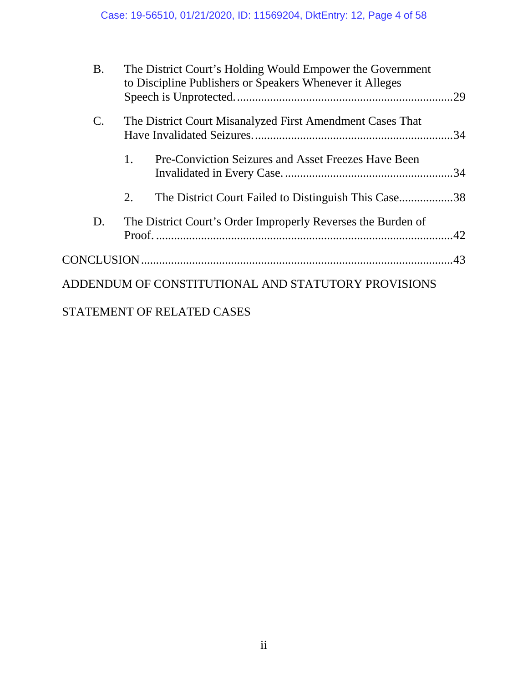| <b>B.</b>       | The District Court's Holding Would Empower the Government<br>to Discipline Publishers or Speakers Whenever it Alleges |     |
|-----------------|-----------------------------------------------------------------------------------------------------------------------|-----|
| $\mathcal{C}$ . | The District Court Misanalyzed First Amendment Cases That                                                             | .34 |
|                 | 1.<br>Pre-Conviction Seizures and Asset Freezes Have Been                                                             |     |
|                 | 2.<br>The District Court Failed to Distinguish This Case38                                                            |     |
| D.              | The District Court's Order Improperly Reverses the Burden of                                                          |     |
|                 |                                                                                                                       |     |
|                 | ADDENDUM OF CONSTITUTIONAL AND STATUTORY PROVISIONS                                                                   |     |
|                 | STATEMENT OF RELATED CASES                                                                                            |     |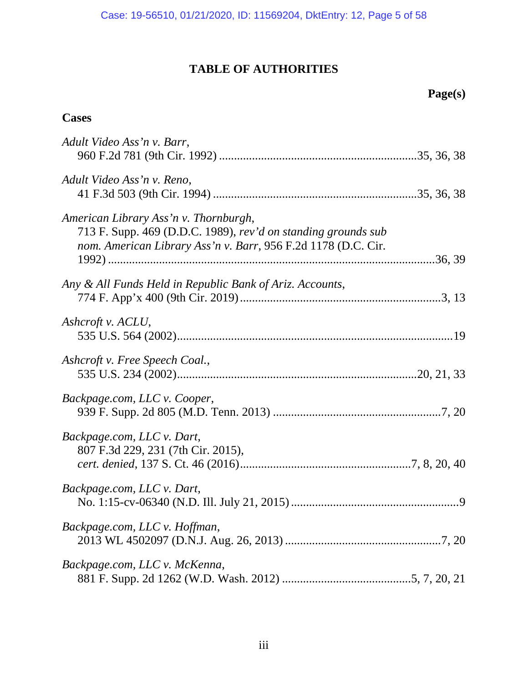# **TABLE OF AUTHORITIES**

 **Page(s)** 

| <b>Cases</b>                                                                                                                                                            |  |
|-------------------------------------------------------------------------------------------------------------------------------------------------------------------------|--|
| Adult Video Ass'n v. Barr,                                                                                                                                              |  |
| Adult Video Ass'n v. Reno,                                                                                                                                              |  |
| American Library Ass'n v. Thornburgh,<br>713 F. Supp. 469 (D.D.C. 1989), rev'd on standing grounds sub<br>nom. American Library Ass'n v. Barr, 956 F.2d 1178 (D.C. Cir. |  |
|                                                                                                                                                                         |  |
| Any & All Funds Held in Republic Bank of Ariz. Accounts,                                                                                                                |  |
| Ashcroft v. ACLU,                                                                                                                                                       |  |
| Ashcroft v. Free Speech Coal.,                                                                                                                                          |  |
| Backpage.com, LLC v. Cooper,                                                                                                                                            |  |
| Backpage.com, LLC v. Dart,<br>807 F.3d 229, 231 (7th Cir. 2015),                                                                                                        |  |
| Backpage.com, LLC v. Dart,                                                                                                                                              |  |
| Backpage.com, LLC v. Hoffman,                                                                                                                                           |  |
| Backpage.com, LLC v. McKenna,                                                                                                                                           |  |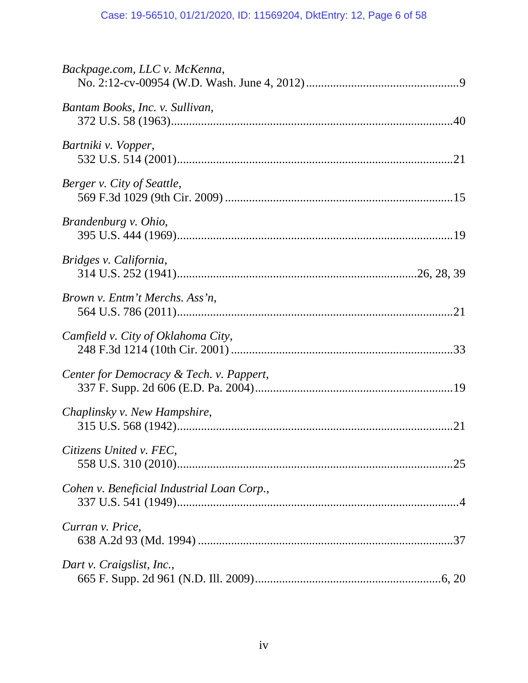| Backpage.com, LLC v. McKenna,              |
|--------------------------------------------|
| Bantam Books, Inc. v. Sullivan,            |
| Bartniki v. Vopper,                        |
| Berger v. City of Seattle,                 |
| Brandenburg v. Ohio,                       |
| Bridges v. California,                     |
| Brown v. Entm't Merchs. Ass'n,             |
| Camfield v. City of Oklahoma City,         |
| Center for Democracy & Tech. v. Pappert,   |
| Chaplinsky v. New Hampshire,               |
| Citizens United v. FEC,                    |
| Cohen v. Beneficial Industrial Loan Corp., |
| Curran v. Price,                           |
| Dart v. Craigslist, Inc.,                  |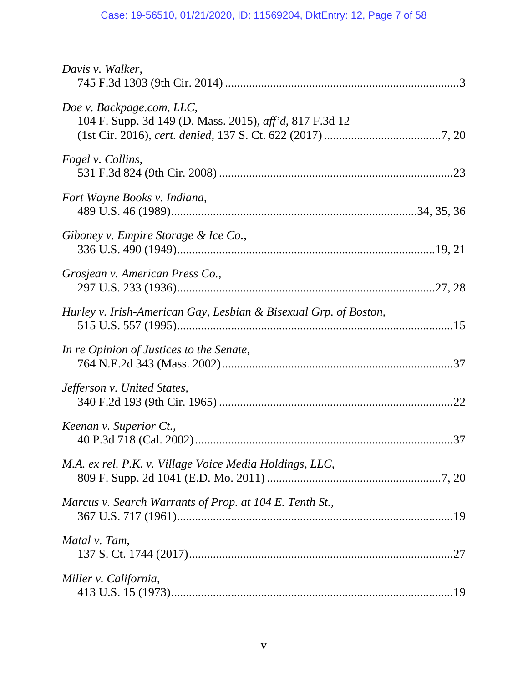| Davis v. Walker,                                                                     |  |
|--------------------------------------------------------------------------------------|--|
| Doe v. Backpage.com, LLC,<br>104 F. Supp. 3d 149 (D. Mass. 2015), aff'd, 817 F.3d 12 |  |
| Fogel v. Collins,                                                                    |  |
| Fort Wayne Books v. Indiana,                                                         |  |
| Giboney v. Empire Storage & Ice Co.,                                                 |  |
| Grosjean v. American Press Co.,                                                      |  |
| Hurley v. Irish-American Gay, Lesbian & Bisexual Grp. of Boston,                     |  |
| In re Opinion of Justices to the Senate,                                             |  |
| Jefferson v. United States,                                                          |  |
| Keenan v. Superior Ct.,                                                              |  |
| M.A. ex rel. P.K. v. Village Voice Media Holdings, LLC,                              |  |
| Marcus v. Search Warrants of Prop. at 104 E. Tenth St.,                              |  |
| Matal v. Tam,                                                                        |  |
| Miller v. California,                                                                |  |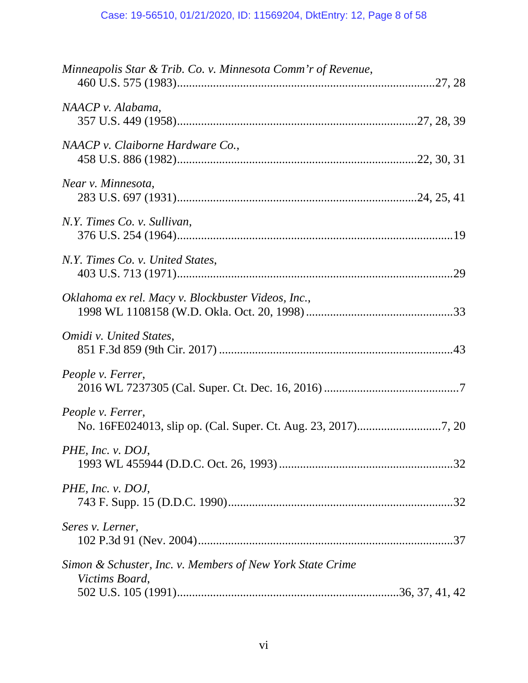| Minneapolis Star & Trib. Co. v. Minnesota Comm'r of Revenue,                |
|-----------------------------------------------------------------------------|
| NAACP v. Alabama,                                                           |
| NAACP v. Claiborne Hardware Co.,                                            |
| Near v. Minnesota,                                                          |
| N.Y. Times Co. v. Sullivan,                                                 |
| N.Y. Times Co. v. United States,                                            |
| Oklahoma ex rel. Macy v. Blockbuster Videos, Inc.,                          |
| Omidi v. United States,                                                     |
| People v. Ferrer,                                                           |
| People v. Ferrer,                                                           |
| PHE, Inc. $v.$ DOJ,                                                         |
| PHE, Inc. v. DOJ,                                                           |
| Seres v. Lerner,                                                            |
| Simon & Schuster, Inc. v. Members of New York State Crime<br>Victims Board, |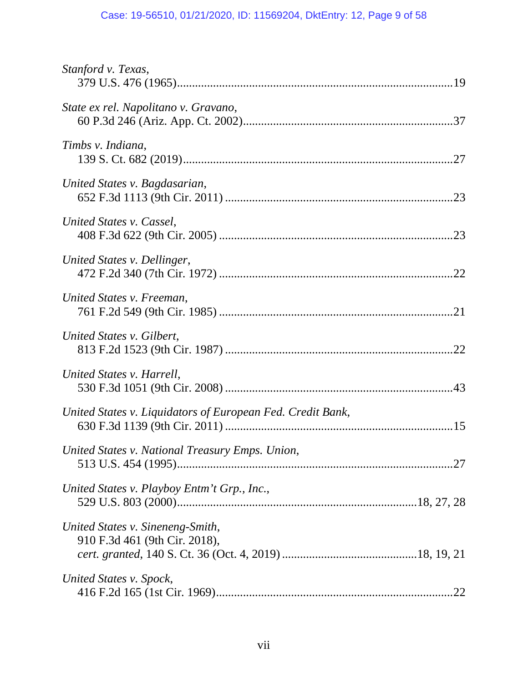# Case: 19-56510, 01/21/2020, ID: 11569204, DktEntry: 12, Page 9 of 58

| Stanford v. Texas,                                                |
|-------------------------------------------------------------------|
| State ex rel. Napolitano v. Gravano,                              |
| Timbs v. Indiana,                                                 |
| United States v. Bagdasarian,                                     |
| United States v. Cassel,                                          |
| United States v. Dellinger,                                       |
| United States v. Freeman,                                         |
| United States v. Gilbert,                                         |
| United States v. Harrell,                                         |
| United States v. Liquidators of European Fed. Credit Bank,        |
| United States v. National Treasury Emps. Union,                   |
| United States v. Playboy Entm't Grp., Inc.,                       |
| United States v. Sineneng-Smith,<br>910 F.3d 461 (9th Cir. 2018), |
| United States v. Spock,                                           |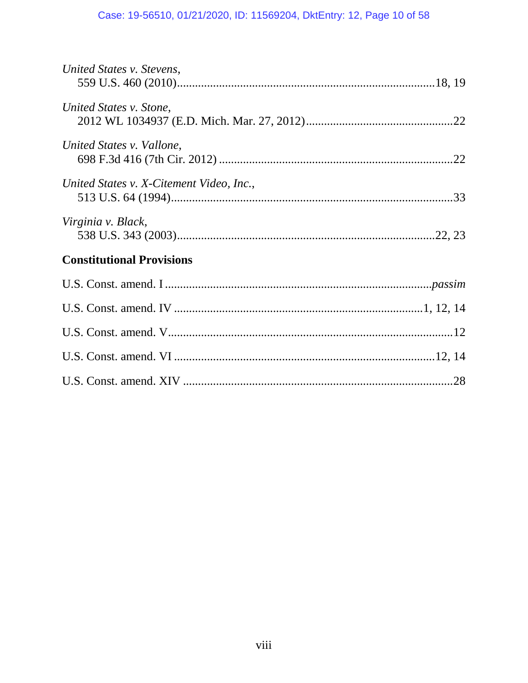# Case: 19-56510, 01/21/2020, ID: 11569204, DktEntry: 12, Page 10 of 58

| United States v. Stevens,                |  |
|------------------------------------------|--|
| United States v. Stone,                  |  |
| United States v. Vallone,                |  |
| United States v. X-Citement Video, Inc., |  |
| Virginia v. Black,                       |  |
| <b>Constitutional Provisions</b>         |  |
|                                          |  |
|                                          |  |
|                                          |  |
|                                          |  |
|                                          |  |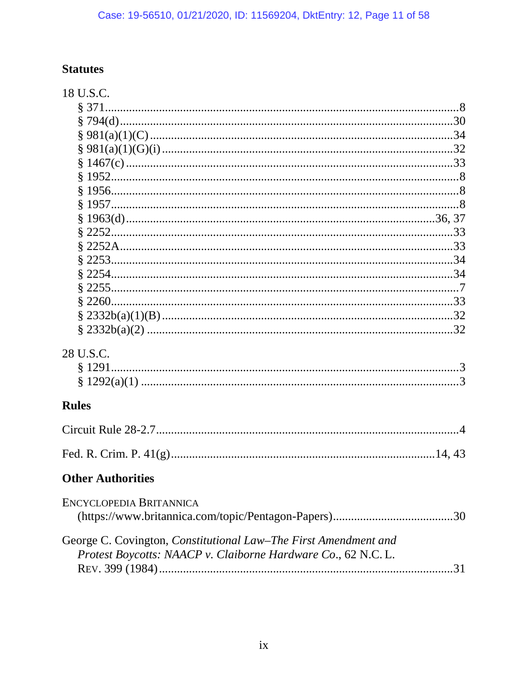# **Statutes**

| 18 U.S.C.                                                       |
|-----------------------------------------------------------------|
|                                                                 |
|                                                                 |
|                                                                 |
|                                                                 |
|                                                                 |
|                                                                 |
|                                                                 |
|                                                                 |
|                                                                 |
|                                                                 |
|                                                                 |
|                                                                 |
|                                                                 |
|                                                                 |
|                                                                 |
|                                                                 |
| $\frac{8}{2332b(a)(2) \dots 32}$                                |
| 28 U.S.C.                                                       |
| § 1291                                                          |
|                                                                 |
|                                                                 |
| <b>Rules</b>                                                    |
|                                                                 |
|                                                                 |
| <b>Other Authorities</b>                                        |
| ENCYCLOPEDIA BRITANNICA                                         |
|                                                                 |
|                                                                 |
| George C. Covington, Constitutional Law-The First Amendment and |
| Protest Boycotts: NAACP v. Claiborne Hardware Co., 62 N.C. L.   |
|                                                                 |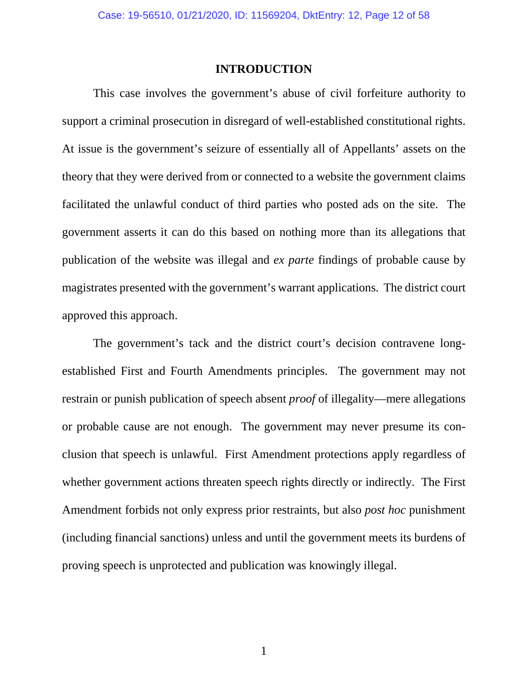#### **INTRODUCTION**

This case involves the government's abuse of civil forfeiture authority to support a criminal prosecution in disregard of well-established constitutional rights. At issue is the government's seizure of essentially all of Appellants' assets on the theory that they were derived from or connected to a website the government claims facilitated the unlawful conduct of third parties who posted ads on the site. The government asserts it can do this based on nothing more than its allegations that publication of the website was illegal and *ex parte* findings of probable cause by magistrates presented with the government's warrant applications. The district court approved this approach.

The government's tack and the district court's decision contravene longestablished First and Fourth Amendments principles. The government may not restrain or punish publication of speech absent *proof* of illegality—mere allegations or probable cause are not enough. The government may never presume its conclusion that speech is unlawful. First Amendment protections apply regardless of whether government actions threaten speech rights directly or indirectly. The First Amendment forbids not only express prior restraints, but also *post hoc* punishment (including financial sanctions) unless and until the government meets its burdens of proving speech is unprotected and publication was knowingly illegal.

1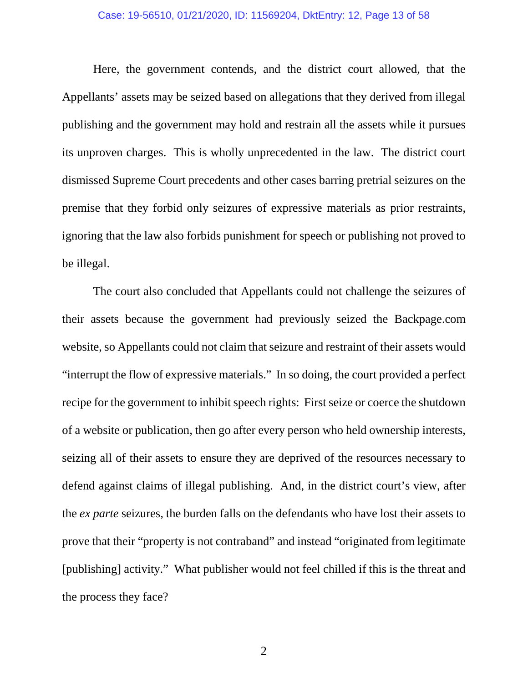#### Case: 19-56510, 01/21/2020, ID: 11569204, DktEntry: 12, Page 13 of 58

Here, the government contends, and the district court allowed, that the Appellants' assets may be seized based on allegations that they derived from illegal publishing and the government may hold and restrain all the assets while it pursues its unproven charges. This is wholly unprecedented in the law. The district court dismissed Supreme Court precedents and other cases barring pretrial seizures on the premise that they forbid only seizures of expressive materials as prior restraints, ignoring that the law also forbids punishment for speech or publishing not proved to be illegal.

The court also concluded that Appellants could not challenge the seizures of their assets because the government had previously seized the Backpage.com website, so Appellants could not claim that seizure and restraint of their assets would "interrupt the flow of expressive materials." In so doing, the court provided a perfect recipe for the government to inhibit speech rights: First seize or coerce the shutdown of a website or publication, then go after every person who held ownership interests, seizing all of their assets to ensure they are deprived of the resources necessary to defend against claims of illegal publishing. And, in the district court's view, after the *ex parte* seizures, the burden falls on the defendants who have lost their assets to prove that their "property is not contraband" and instead "originated from legitimate [publishing] activity." What publisher would not feel chilled if this is the threat and the process they face?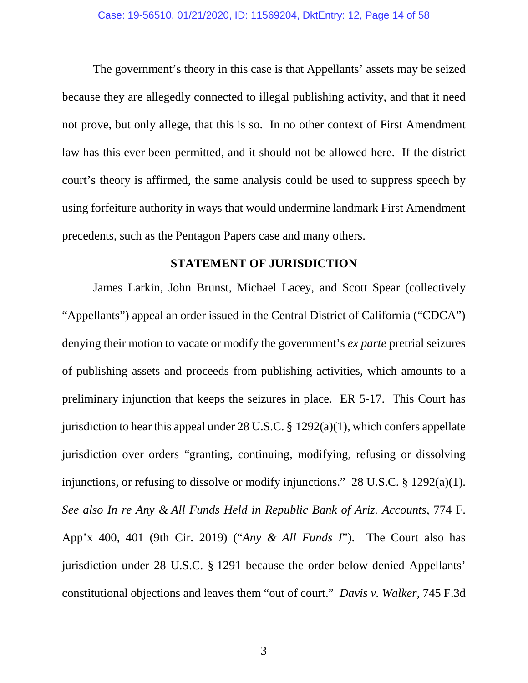The government's theory in this case is that Appellants' assets may be seized because they are allegedly connected to illegal publishing activity, and that it need not prove, but only allege, that this is so. In no other context of First Amendment law has this ever been permitted, and it should not be allowed here. If the district court's theory is affirmed, the same analysis could be used to suppress speech by using forfeiture authority in ways that would undermine landmark First Amendment precedents, such as the Pentagon Papers case and many others.

## **STATEMENT OF JURISDICTION**

James Larkin, John Brunst, Michael Lacey, and Scott Spear (collectively "Appellants") appeal an order issued in the Central District of California ("CDCA") denying their motion to vacate or modify the government's *ex parte* pretrial seizures of publishing assets and proceeds from publishing activities, which amounts to a preliminary injunction that keeps the seizures in place. ER 5-17. This Court has jurisdiction to hear this appeal under  $28$  U.S.C. § 1292(a)(1), which confers appellate jurisdiction over orders "granting, continuing, modifying, refusing or dissolving injunctions, or refusing to dissolve or modify injunctions." 28 U.S.C. § 1292(a)(1). *See also In re Any & All Funds Held in Republic Bank of Ariz. Accounts*, 774 F. App'x 400, 401 (9th Cir. 2019) ("*Any & All Funds I*"). The Court also has jurisdiction under 28 U.S.C. § 1291 because the order below denied Appellants' constitutional objections and leaves them "out of court." *Davis v. Walker*, 745 F.3d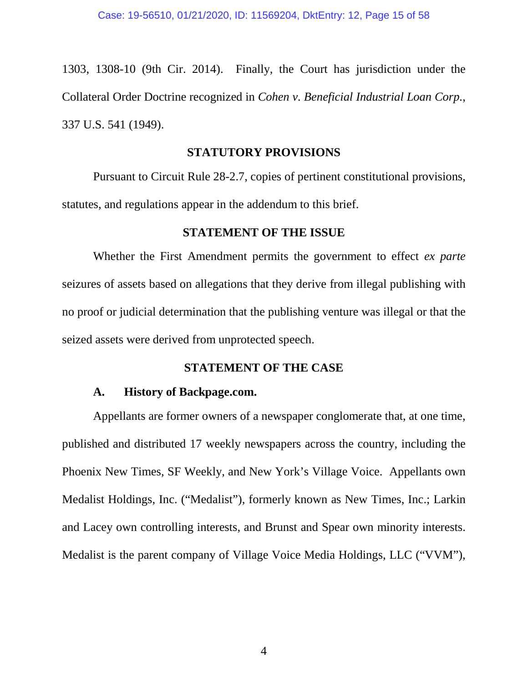1303, 1308-10 (9th Cir. 2014). Finally, the Court has jurisdiction under the Collateral Order Doctrine recognized in *Cohen v. Beneficial Industrial Loan Corp.*, 337 U.S. 541 (1949).

## **STATUTORY PROVISIONS**

Pursuant to Circuit Rule 28-2.7, copies of pertinent constitutional provisions, statutes, and regulations appear in the addendum to this brief.

## **STATEMENT OF THE ISSUE**

Whether the First Amendment permits the government to effect *ex parte*  seizures of assets based on allegations that they derive from illegal publishing with no proof or judicial determination that the publishing venture was illegal or that the seized assets were derived from unprotected speech.

## **STATEMENT OF THE CASE**

## **A. History of Backpage.com.**

Appellants are former owners of a newspaper conglomerate that, at one time, published and distributed 17 weekly newspapers across the country, including the Phoenix New Times, SF Weekly, and New York's Village Voice. Appellants own Medalist Holdings, Inc. ("Medalist"), formerly known as New Times, Inc.; Larkin and Lacey own controlling interests, and Brunst and Spear own minority interests. Medalist is the parent company of Village Voice Media Holdings, LLC ("VVM"),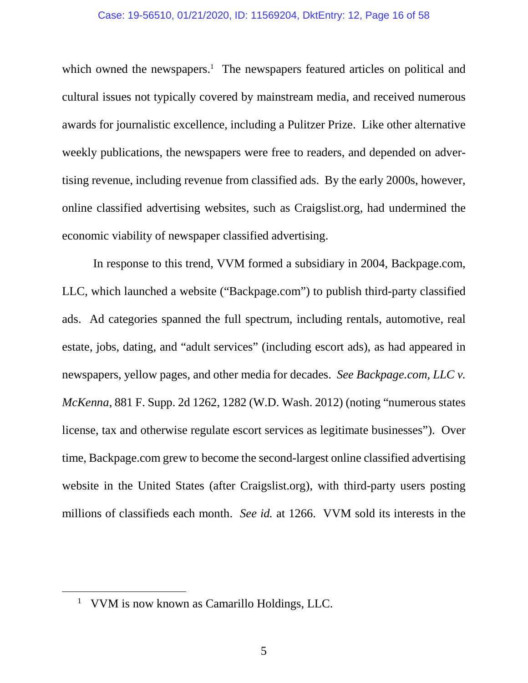#### Case: 19-56510, 01/21/2020, ID: 11569204, DktEntry: 12, Page 16 of 58

which owned the newspapers.<sup>1</sup> The newspapers featured articles on political and cultural issues not typically covered by mainstream media, and received numerous awards for journalistic excellence, including a Pulitzer Prize. Like other alternative weekly publications, the newspapers were free to readers, and depended on advertising revenue, including revenue from classified ads. By the early 2000s, however, online classified advertising websites, such as Craigslist.org, had undermined the economic viability of newspaper classified advertising.

In response to this trend, VVM formed a subsidiary in 2004, Backpage.com, LLC, which launched a website ("Backpage.com") to publish third-party classified ads. Ad categories spanned the full spectrum, including rentals, automotive, real estate, jobs, dating, and "adult services" (including escort ads), as had appeared in newspapers, yellow pages, and other media for decades. *See Backpage.com, LLC v. McKenna*, 881 F. Supp. 2d 1262, 1282 (W.D. Wash. 2012) (noting "numerous states license, tax and otherwise regulate escort services as legitimate businesses"). Over time, Backpage.com grew to become the second-largest online classified advertising website in the United States (after Craigslist.org), with third-party users posting millions of classifieds each month. *See id.* at 1266. VVM sold its interests in the

<sup>&</sup>lt;sup>1</sup> VVM is now known as Camarillo Holdings, LLC.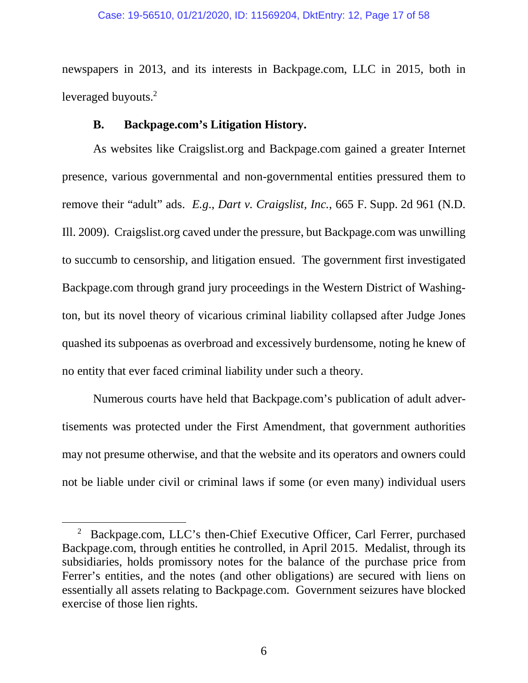#### Case: 19-56510, 01/21/2020, ID: 11569204, DktEntry: 12, Page 17 of 58

newspapers in 2013, and its interests in Backpage.com, LLC in 2015, both in leveraged buyouts.<sup>2</sup>

## **B. Backpage.com's Litigation History.**

As websites like Craigslist.org and Backpage.com gained a greater Internet presence, various governmental and non-governmental entities pressured them to remove their "adult" ads. *E.g*., *Dart v. Craigslist, Inc.*, 665 F. Supp. 2d 961 (N.D. Ill. 2009). Craigslist.org caved under the pressure, but Backpage.com was unwilling to succumb to censorship, and litigation ensued. The government first investigated Backpage.com through grand jury proceedings in the Western District of Washington, but its novel theory of vicarious criminal liability collapsed after Judge Jones quashed its subpoenas as overbroad and excessively burdensome, noting he knew of no entity that ever faced criminal liability under such a theory.

Numerous courts have held that Backpage.com's publication of adult advertisements was protected under the First Amendment, that government authorities may not presume otherwise, and that the website and its operators and owners could not be liable under civil or criminal laws if some (or even many) individual users

<sup>&</sup>lt;sup>2</sup> Backpage.com, LLC's then-Chief Executive Officer, Carl Ferrer, purchased Backpage.com, through entities he controlled, in April 2015. Medalist, through its subsidiaries, holds promissory notes for the balance of the purchase price from Ferrer's entities, and the notes (and other obligations) are secured with liens on essentially all assets relating to Backpage.com. Government seizures have blocked exercise of those lien rights.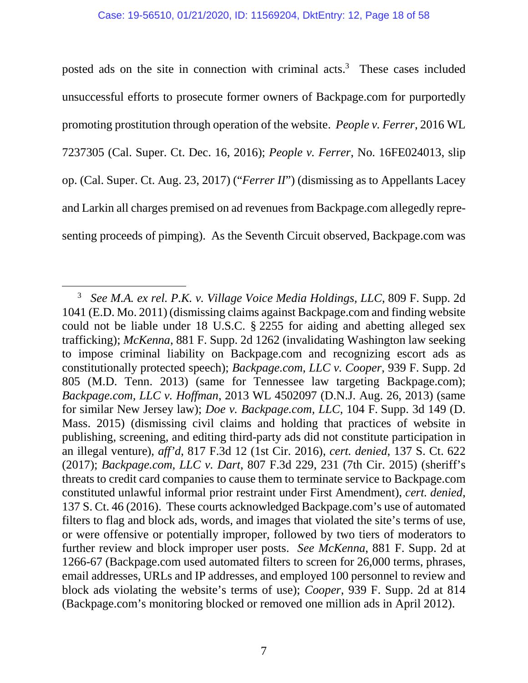posted ads on the site in connection with criminal acts.<sup>3</sup> These cases included unsuccessful efforts to prosecute former owners of Backpage.com for purportedly promoting prostitution through operation of the website. *People v. Ferrer*, 2016 WL 7237305 (Cal. Super. Ct. Dec. 16, 2016); *People v. Ferrer*, No. 16FE024013, slip op. (Cal. Super. Ct. Aug. 23, 2017) ("*Ferrer II*") (dismissing as to Appellants Lacey and Larkin all charges premised on ad revenues from Backpage.com allegedly representing proceeds of pimping). As the Seventh Circuit observed, Backpage.com was

<sup>3</sup> *See M.A. ex rel. P.K. v. Village Voice Media Holdings, LLC*, 809 F. Supp. 2d 1041 (E.D. Mo. 2011) (dismissing claims against Backpage.com and finding website could not be liable under 18 U.S.C. § 2255 for aiding and abetting alleged sex trafficking); *McKenna*, 881 F. Supp. 2d 1262 (invalidating Washington law seeking to impose criminal liability on Backpage.com and recognizing escort ads as constitutionally protected speech); *Backpage.com, LLC v. Cooper*, 939 F. Supp. 2d 805 (M.D. Tenn. 2013) (same for Tennessee law targeting Backpage.com); *Backpage.com, LLC v. Hoffman*, 2013 WL 4502097 (D.N.J. Aug. 26, 2013) (same for similar New Jersey law); *Doe v. Backpage.com, LLC*, 104 F. Supp. 3d 149 (D. Mass. 2015) (dismissing civil claims and holding that practices of website in publishing, screening, and editing third-party ads did not constitute participation in an illegal venture), *aff'd*, 817 F.3d 12 (1st Cir. 2016), *cert. denied*, 137 S. Ct. 622 (2017); *Backpage.com, LLC v. Dart*, 807 F.3d 229, 231 (7th Cir. 2015) (sheriff's threats to credit card companies to cause them to terminate service to Backpage.com constituted unlawful informal prior restraint under First Amendment), *cert. denied*, 137 S. Ct. 46 (2016). These courts acknowledged Backpage.com's use of automated filters to flag and block ads, words, and images that violated the site's terms of use, or were offensive or potentially improper, followed by two tiers of moderators to further review and block improper user posts. *See McKenna*, 881 F. Supp. 2d at 1266-67 (Backpage.com used automated filters to screen for 26,000 terms, phrases, email addresses, URLs and IP addresses, and employed 100 personnel to review and block ads violating the website's terms of use); *Cooper*, 939 F. Supp. 2d at 814 (Backpage.com's monitoring blocked or removed one million ads in April 2012).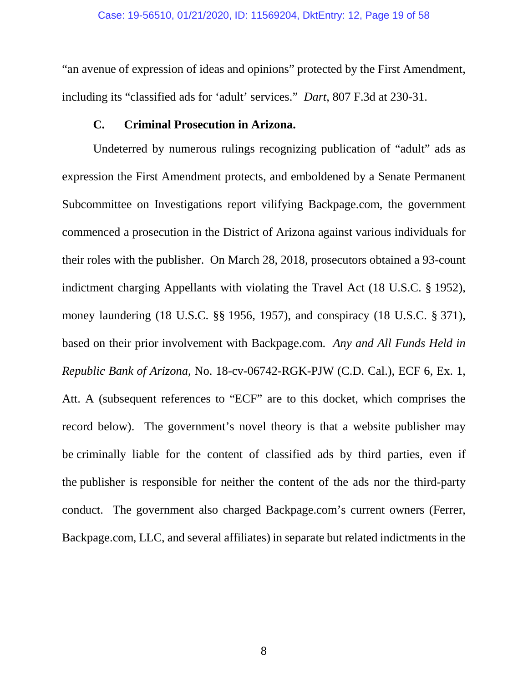"an avenue of expression of ideas and opinions" protected by the First Amendment, including its "classified ads for 'adult' services." *Dart*, 807 F.3d at 230-31.

## **C. Criminal Prosecution in Arizona.**

Undeterred by numerous rulings recognizing publication of "adult" ads as expression the First Amendment protects, and emboldened by a Senate Permanent Subcommittee on Investigations report vilifying Backpage.com, the government commenced a prosecution in the District of Arizona against various individuals for their roles with the publisher. On March 28, 2018, prosecutors obtained a 93-count indictment charging Appellants with violating the Travel Act (18 U.S.C. § 1952), money laundering (18 U.S.C. §§ 1956, 1957), and conspiracy (18 U.S.C. § 371), based on their prior involvement with Backpage.com. *Any and All Funds Held in Republic Bank of Arizona*, No. 18-cv-06742-RGK-PJW (C.D. Cal.), ECF 6, Ex. 1, Att. A (subsequent references to "ECF" are to this docket, which comprises the record below). The government's novel theory is that a website publisher may be criminally liable for the content of classified ads by third parties, even if the publisher is responsible for neither the content of the ads nor the third-party conduct. The government also charged Backpage.com's current owners (Ferrer, Backpage.com, LLC, and several affiliates) in separate but related indictments in the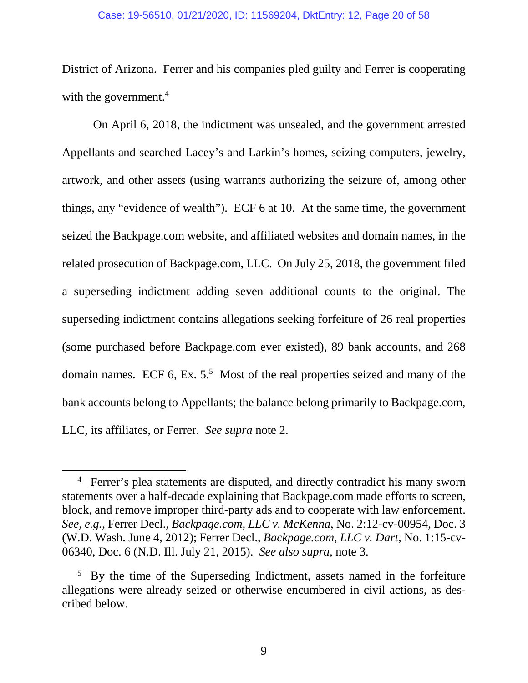#### Case: 19-56510, 01/21/2020, ID: 11569204, DktEntry: 12, Page 20 of 58

District of Arizona. Ferrer and his companies pled guilty and Ferrer is cooperating with the government.<sup>4</sup>

On April 6, 2018, the indictment was unsealed, and the government arrested Appellants and searched Lacey's and Larkin's homes, seizing computers, jewelry, artwork, and other assets (using warrants authorizing the seizure of, among other things, any "evidence of wealth"). ECF 6 at 10. At the same time, the government seized the Backpage.com website, and affiliated websites and domain names, in the related prosecution of Backpage.com, LLC. On July 25, 2018, the government filed a superseding indictment adding seven additional counts to the original. The superseding indictment contains allegations seeking forfeiture of 26 real properties (some purchased before Backpage.com ever existed), 89 bank accounts, and 268 domain names. ECF 6, Ex.  $5<sup>5</sup>$  Most of the real properties seized and many of the bank accounts belong to Appellants; the balance belong primarily to Backpage.com, LLC, its affiliates, or Ferrer. *See supra* note 2.

<sup>&</sup>lt;sup>4</sup> Ferrer's plea statements are disputed, and directly contradict his many sworn statements over a half-decade explaining that Backpage.com made efforts to screen, block, and remove improper third-party ads and to cooperate with law enforcement. *See, e.g.*, Ferrer Decl., *Backpage.com, LLC v. McKenna*, No. 2:12-cv-00954, Doc. 3 (W.D. Wash. June 4, 2012); Ferrer Decl., *Backpage.com, LLC v. Dart*, No. 1:15-cv-06340, Doc. 6 (N.D. Ill. July 21, 2015). *See also supra*, note 3.

<sup>&</sup>lt;sup>5</sup> By the time of the Superseding Indictment, assets named in the forfeiture allegations were already seized or otherwise encumbered in civil actions, as described below.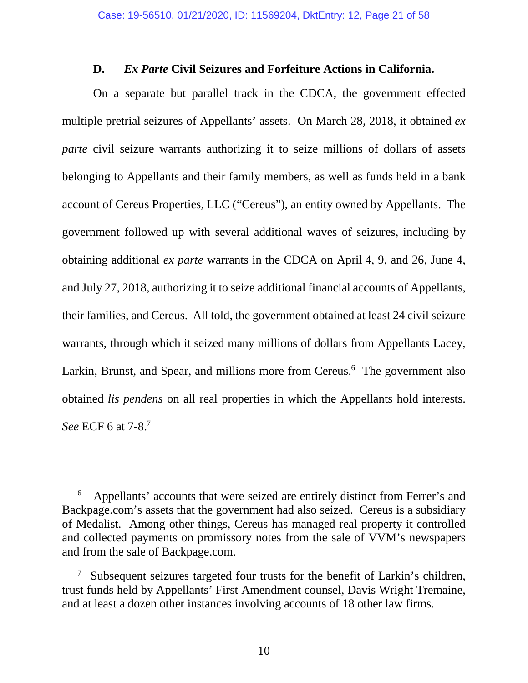## **D.** *Ex Parte* **Civil Seizures and Forfeiture Actions in California.**

On a separate but parallel track in the CDCA, the government effected multiple pretrial seizures of Appellants' assets. On March 28, 2018, it obtained *ex parte* civil seizure warrants authorizing it to seize millions of dollars of assets belonging to Appellants and their family members, as well as funds held in a bank account of Cereus Properties, LLC ("Cereus"), an entity owned by Appellants. The government followed up with several additional waves of seizures, including by obtaining additional *ex parte* warrants in the CDCA on April 4, 9, and 26, June 4, and July 27, 2018, authorizing it to seize additional financial accounts of Appellants, their families, and Cereus. All told, the government obtained at least 24 civil seizure warrants, through which it seized many millions of dollars from Appellants Lacey, Larkin, Brunst, and Spear, and millions more from Cereus.<sup>6</sup> The government also obtained *lis pendens* on all real properties in which the Appellants hold interests. *See* ECF 6 at 7-8.<sup>7</sup>

<sup>6</sup> Appellants' accounts that were seized are entirely distinct from Ferrer's and Backpage.com's assets that the government had also seized. Cereus is a subsidiary of Medalist. Among other things, Cereus has managed real property it controlled and collected payments on promissory notes from the sale of VVM's newspapers and from the sale of Backpage.com.

<sup>&</sup>lt;sup>7</sup> Subsequent seizures targeted four trusts for the benefit of Larkin's children, trust funds held by Appellants' First Amendment counsel, Davis Wright Tremaine, and at least a dozen other instances involving accounts of 18 other law firms.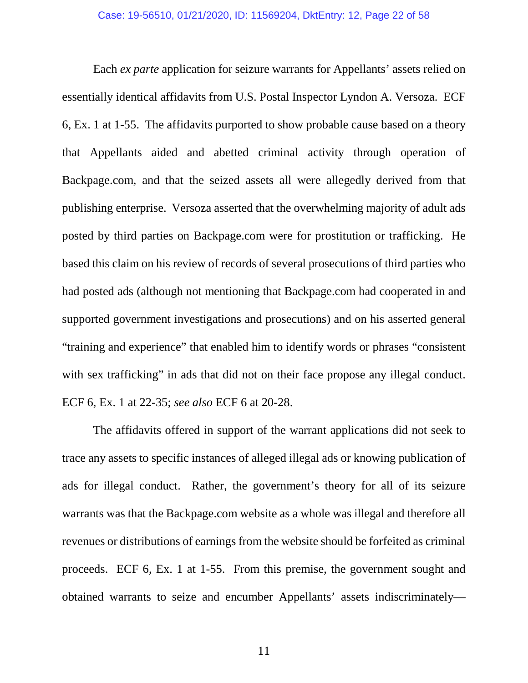Each *ex parte* application for seizure warrants for Appellants' assets relied on essentially identical affidavits from U.S. Postal Inspector Lyndon A. Versoza. ECF 6, Ex. 1 at 1-55. The affidavits purported to show probable cause based on a theory that Appellants aided and abetted criminal activity through operation of Backpage.com, and that the seized assets all were allegedly derived from that publishing enterprise. Versoza asserted that the overwhelming majority of adult ads posted by third parties on Backpage.com were for prostitution or trafficking. He based this claim on his review of records of several prosecutions of third parties who had posted ads (although not mentioning that Backpage.com had cooperated in and supported government investigations and prosecutions) and on his asserted general "training and experience" that enabled him to identify words or phrases "consistent with sex trafficking" in ads that did not on their face propose any illegal conduct. ECF 6, Ex. 1 at 22-35; *see also* ECF 6 at 20-28.

The affidavits offered in support of the warrant applications did not seek to trace any assets to specific instances of alleged illegal ads or knowing publication of ads for illegal conduct. Rather, the government's theory for all of its seizure warrants was that the Backpage.com website as a whole was illegal and therefore all revenues or distributions of earnings from the website should be forfeited as criminal proceeds. ECF 6, Ex. 1 at 1-55. From this premise, the government sought and obtained warrants to seize and encumber Appellants' assets indiscriminately—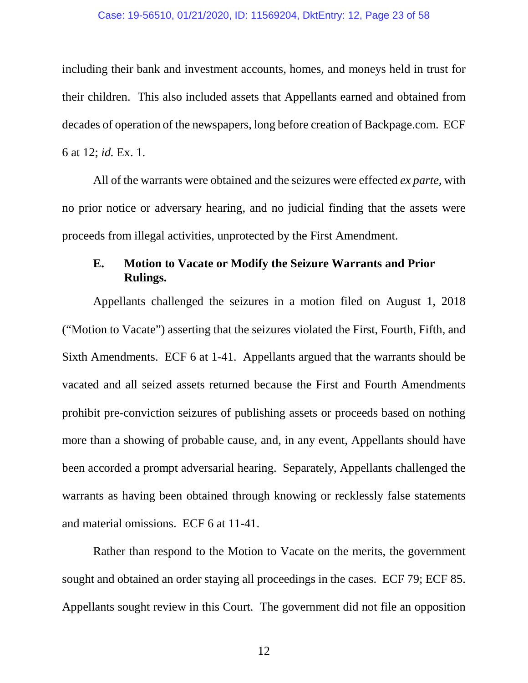#### Case: 19-56510, 01/21/2020, ID: 11569204, DktEntry: 12, Page 23 of 58

including their bank and investment accounts, homes, and moneys held in trust for their children. This also included assets that Appellants earned and obtained from decades of operation of the newspapers, long before creation of Backpage.com. ECF 6 at 12; *id.* Ex. 1.

All of the warrants were obtained and the seizures were effected *ex parte*, with no prior notice or adversary hearing, and no judicial finding that the assets were proceeds from illegal activities, unprotected by the First Amendment.

## **E. Motion to Vacate or Modify the Seizure Warrants and Prior Rulings.**

Appellants challenged the seizures in a motion filed on August 1, 2018 ("Motion to Vacate") asserting that the seizures violated the First, Fourth, Fifth, and Sixth Amendments. ECF 6 at 1-41. Appellants argued that the warrants should be vacated and all seized assets returned because the First and Fourth Amendments prohibit pre-conviction seizures of publishing assets or proceeds based on nothing more than a showing of probable cause, and, in any event, Appellants should have been accorded a prompt adversarial hearing. Separately, Appellants challenged the warrants as having been obtained through knowing or recklessly false statements and material omissions. ECF 6 at 11-41.

Rather than respond to the Motion to Vacate on the merits, the government sought and obtained an order staying all proceedings in the cases. ECF 79; ECF 85. Appellants sought review in this Court. The government did not file an opposition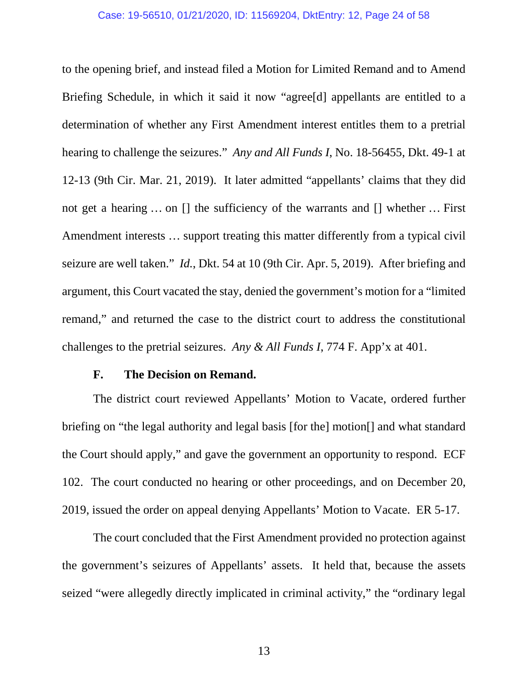#### Case: 19-56510, 01/21/2020, ID: 11569204, DktEntry: 12, Page 24 of 58

to the opening brief, and instead filed a Motion for Limited Remand and to Amend Briefing Schedule, in which it said it now "agree[d] appellants are entitled to a determination of whether any First Amendment interest entitles them to a pretrial hearing to challenge the seizures." *Any and All Funds I*, No. 18-56455, Dkt. 49-1 at 12-13 (9th Cir. Mar. 21, 2019). It later admitted "appellants' claims that they did not get a hearing … on [] the sufficiency of the warrants and [] whether … First Amendment interests … support treating this matter differently from a typical civil seizure are well taken." *Id.*, Dkt. 54 at 10 (9th Cir. Apr. 5, 2019). After briefing and argument, this Court vacated the stay, denied the government's motion for a "limited remand," and returned the case to the district court to address the constitutional challenges to the pretrial seizures. *Any & All Funds I*, 774 F. App'x at 401.

### **F. The Decision on Remand.**

The district court reviewed Appellants' Motion to Vacate, ordered further briefing on "the legal authority and legal basis [for the] motion[] and what standard the Court should apply," and gave the government an opportunity to respond. ECF 102. The court conducted no hearing or other proceedings, and on December 20, 2019, issued the order on appeal denying Appellants' Motion to Vacate. ER 5-17.

The court concluded that the First Amendment provided no protection against the government's seizures of Appellants' assets. It held that, because the assets seized "were allegedly directly implicated in criminal activity," the "ordinary legal

13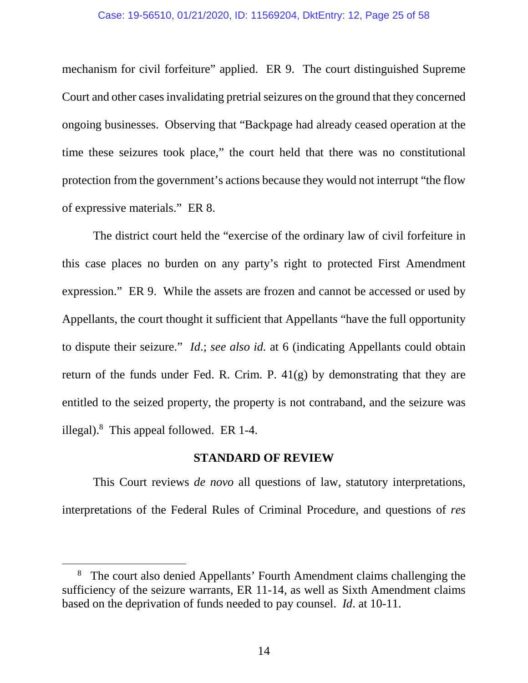mechanism for civil forfeiture" applied. ER 9. The court distinguished Supreme Court and other cases invalidating pretrial seizures on the ground that they concerned ongoing businesses. Observing that "Backpage had already ceased operation at the time these seizures took place," the court held that there was no constitutional protection from the government's actions because they would not interrupt "the flow of expressive materials." ER 8.

The district court held the "exercise of the ordinary law of civil forfeiture in this case places no burden on any party's right to protected First Amendment expression." ER 9. While the assets are frozen and cannot be accessed or used by Appellants, the court thought it sufficient that Appellants "have the full opportunity to dispute their seizure." *Id*.; *see also id.* at 6 (indicating Appellants could obtain return of the funds under Fed. R. Crim. P.  $41(g)$  by demonstrating that they are entitled to the seized property, the property is not contraband, and the seizure was illegal). $8$  This appeal followed. ER 1-4.

## **STANDARD OF REVIEW**

This Court reviews *de novo* all questions of law, statutory interpretations, interpretations of the Federal Rules of Criminal Procedure, and questions of *res* 

<sup>&</sup>lt;sup>8</sup> The court also denied Appellants' Fourth Amendment claims challenging the sufficiency of the seizure warrants, ER 11-14, as well as Sixth Amendment claims based on the deprivation of funds needed to pay counsel. *Id*. at 10-11.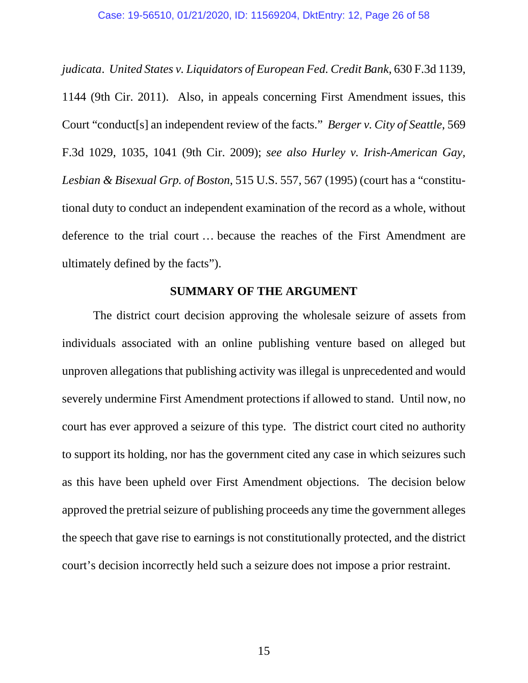*judicata*. *United States v. Liquidators of European Fed. Credit Bank*, 630 F.3d 1139, 1144 (9th Cir. 2011). Also, in appeals concerning First Amendment issues, this Court "conduct[s] an independent review of the facts." *Berger v. City of Seattle*, 569 F.3d 1029, 1035, 1041 (9th Cir. 2009); *see also Hurley v. Irish-American Gay, Lesbian & Bisexual Grp. of Boston*, 515 U.S. 557, 567 (1995) (court has a "constitutional duty to conduct an independent examination of the record as a whole, without deference to the trial court … because the reaches of the First Amendment are ultimately defined by the facts").

## **SUMMARY OF THE ARGUMENT**

The district court decision approving the wholesale seizure of assets from individuals associated with an online publishing venture based on alleged but unproven allegations that publishing activity was illegal is unprecedented and would severely undermine First Amendment protections if allowed to stand. Until now, no court has ever approved a seizure of this type. The district court cited no authority to support its holding, nor has the government cited any case in which seizures such as this have been upheld over First Amendment objections. The decision below approved the pretrial seizure of publishing proceeds any time the government alleges the speech that gave rise to earnings is not constitutionally protected, and the district court's decision incorrectly held such a seizure does not impose a prior restraint.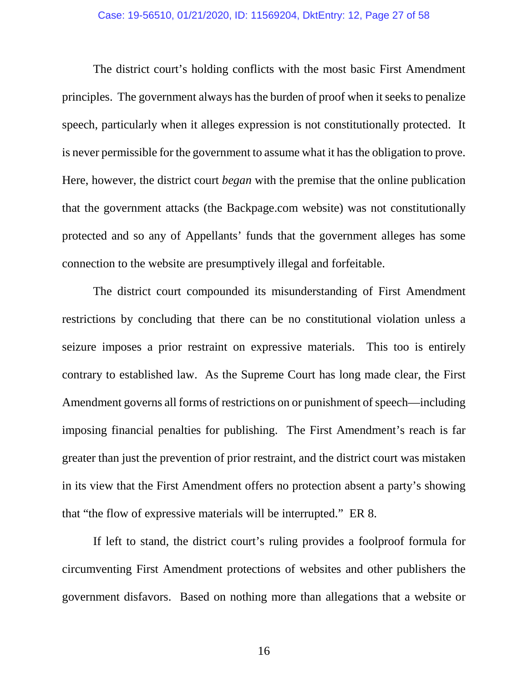The district court's holding conflicts with the most basic First Amendment principles. The government always has the burden of proof when it seeks to penalize speech, particularly when it alleges expression is not constitutionally protected. It is never permissible for the government to assume what it has the obligation to prove. Here, however, the district court *began* with the premise that the online publication that the government attacks (the Backpage.com website) was not constitutionally protected and so any of Appellants' funds that the government alleges has some connection to the website are presumptively illegal and forfeitable.

The district court compounded its misunderstanding of First Amendment restrictions by concluding that there can be no constitutional violation unless a seizure imposes a prior restraint on expressive materials. This too is entirely contrary to established law. As the Supreme Court has long made clear, the First Amendment governs all forms of restrictions on or punishment of speech—including imposing financial penalties for publishing. The First Amendment's reach is far greater than just the prevention of prior restraint, and the district court was mistaken in its view that the First Amendment offers no protection absent a party's showing that "the flow of expressive materials will be interrupted." ER 8.

If left to stand, the district court's ruling provides a foolproof formula for circumventing First Amendment protections of websites and other publishers the government disfavors. Based on nothing more than allegations that a website or

16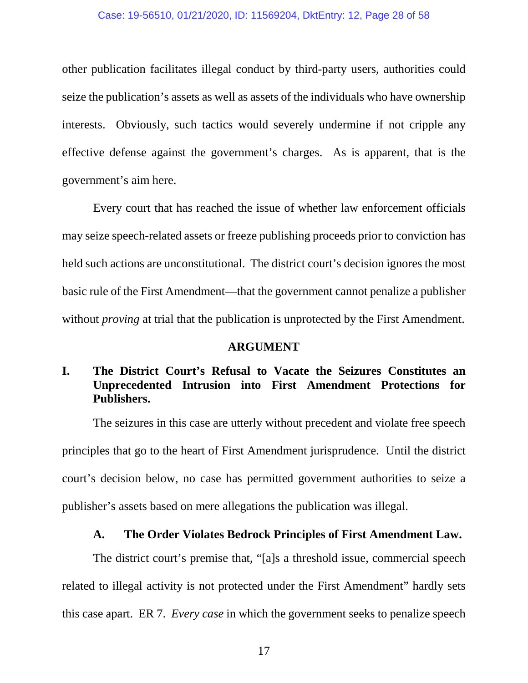## Case: 19-56510, 01/21/2020, ID: 11569204, DktEntry: 12, Page 28 of 58

other publication facilitates illegal conduct by third-party users, authorities could seize the publication's assets as well as assets of the individuals who have ownership interests. Obviously, such tactics would severely undermine if not cripple any effective defense against the government's charges. As is apparent, that is the government's aim here.

Every court that has reached the issue of whether law enforcement officials may seize speech-related assets or freeze publishing proceeds prior to conviction has held such actions are unconstitutional. The district court's decision ignores the most basic rule of the First Amendment—that the government cannot penalize a publisher without *proving* at trial that the publication is unprotected by the First Amendment.

#### **ARGUMENT**

# **I. The District Court's Refusal to Vacate the Seizures Constitutes an Unprecedented Intrusion into First Amendment Protections for Publishers.**

The seizures in this case are utterly without precedent and violate free speech principles that go to the heart of First Amendment jurisprudence. Until the district court's decision below, no case has permitted government authorities to seize a publisher's assets based on mere allegations the publication was illegal.

### **A. The Order Violates Bedrock Principles of First Amendment Law.**

The district court's premise that, "[a]s a threshold issue, commercial speech related to illegal activity is not protected under the First Amendment" hardly sets this case apart. ER 7. *Every case* in which the government seeks to penalize speech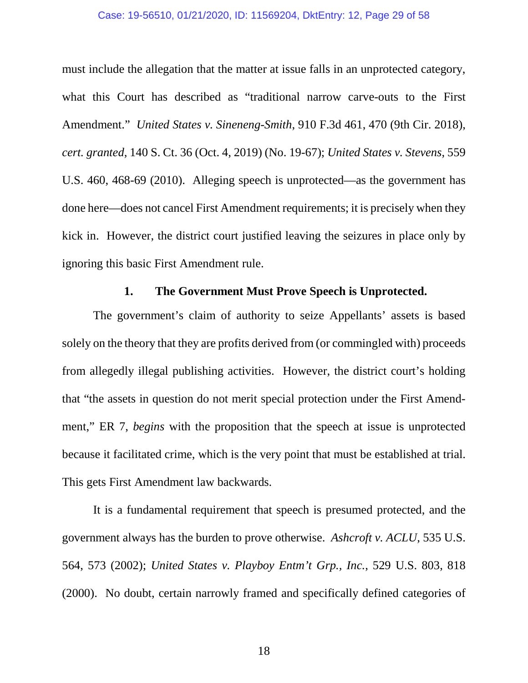#### Case: 19-56510, 01/21/2020, ID: 11569204, DktEntry: 12, Page 29 of 58

must include the allegation that the matter at issue falls in an unprotected category, what this Court has described as "traditional narrow carve-outs to the First Amendment." *United States v. Sineneng-Smith*, 910 F.3d 461, 470 (9th Cir. 2018), *cert. granted*, 140 S. Ct. 36 (Oct. 4, 2019) (No. 19-67); *United States v. Stevens*, 559 U.S. 460, 468-69 (2010). Alleging speech is unprotected—as the government has done here—does not cancel First Amendment requirements; it is precisely when they kick in. However, the district court justified leaving the seizures in place only by ignoring this basic First Amendment rule.

## **1. The Government Must Prove Speech is Unprotected.**

The government's claim of authority to seize Appellants' assets is based solely on the theory that they are profits derived from (or commingled with) proceeds from allegedly illegal publishing activities. However, the district court's holding that "the assets in question do not merit special protection under the First Amendment," ER 7, *begins* with the proposition that the speech at issue is unprotected because it facilitated crime, which is the very point that must be established at trial. This gets First Amendment law backwards.

It is a fundamental requirement that speech is presumed protected, and the government always has the burden to prove otherwise. *Ashcroft v. ACLU*, 535 U.S. 564, 573 (2002); *United States v. Playboy Entm't Grp., Inc.*, 529 U.S. 803, 818 (2000). No doubt, certain narrowly framed and specifically defined categories of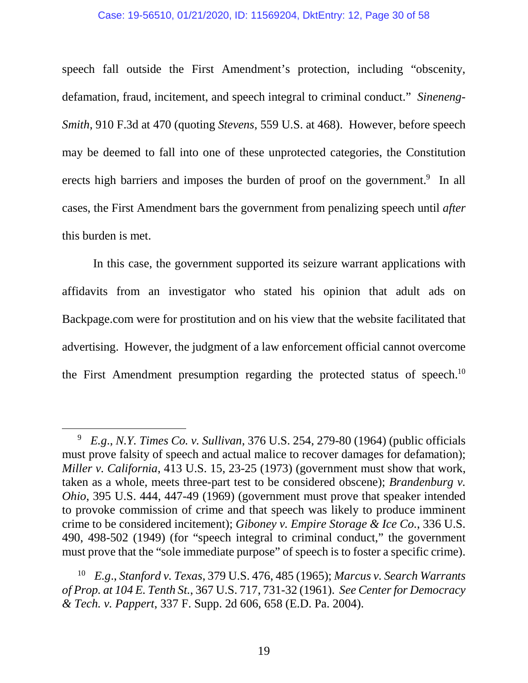#### Case: 19-56510, 01/21/2020, ID: 11569204, DktEntry: 12, Page 30 of 58

speech fall outside the First Amendment's protection, including "obscenity, defamation, fraud, incitement, and speech integral to criminal conduct." *Sineneng-Smith*, 910 F.3d at 470 (quoting *Stevens*, 559 U.S. at 468). However, before speech may be deemed to fall into one of these unprotected categories, the Constitution erects high barriers and imposes the burden of proof on the government.<sup>9</sup> In all cases, the First Amendment bars the government from penalizing speech until *after* this burden is met.

In this case, the government supported its seizure warrant applications with affidavits from an investigator who stated his opinion that adult ads on Backpage.com were for prostitution and on his view that the website facilitated that advertising. However, the judgment of a law enforcement official cannot overcome the First Amendment presumption regarding the protected status of speech.<sup>10</sup>

<sup>9</sup> *E.g*., *N.Y. Times Co. v. Sullivan*, 376 U.S. 254, 279-80 (1964) (public officials must prove falsity of speech and actual malice to recover damages for defamation); *Miller v. California*, 413 U.S. 15, 23-25 (1973) (government must show that work, taken as a whole, meets three-part test to be considered obscene); *Brandenburg v. Ohio*, 395 U.S. 444, 447-49 (1969) (government must prove that speaker intended to provoke commission of crime and that speech was likely to produce imminent crime to be considered incitement); *Giboney v. Empire Storage & Ice Co.*, 336 U.S. 490, 498-502 (1949) (for "speech integral to criminal conduct," the government must prove that the "sole immediate purpose" of speech is to foster a specific crime).

<sup>10</sup> *E.g*., *Stanford v. Texas*, 379 U.S. 476, 485 (1965); *Marcus v. Search Warrants of Prop. at 104 E. Tenth St.*, 367 U.S. 717, 731-32 (1961). *See Center for Democracy & Tech. v. Pappert*, 337 F. Supp. 2d 606, 658 (E.D. Pa. 2004).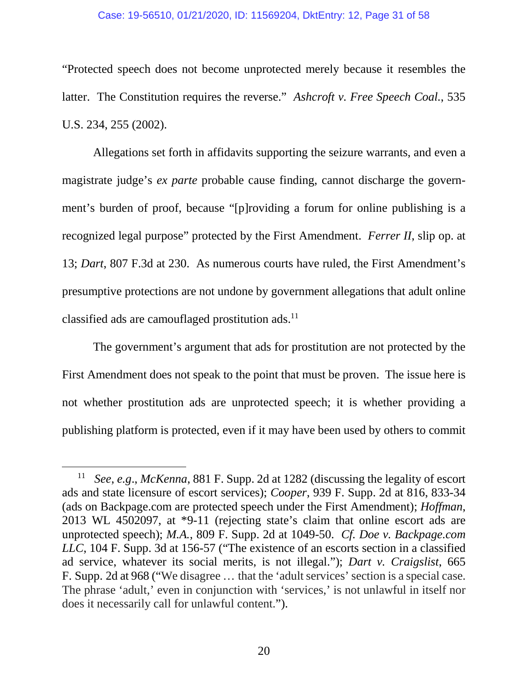#### Case: 19-56510, 01/21/2020, ID: 11569204, DktEntry: 12, Page 31 of 58

"Protected speech does not become unprotected merely because it resembles the latter. The Constitution requires the reverse." *Ashcroft v. Free Speech Coal.*, 535 U.S. 234, 255 (2002).

Allegations set forth in affidavits supporting the seizure warrants, and even a magistrate judge's *ex parte* probable cause finding, cannot discharge the government's burden of proof, because "[p]roviding a forum for online publishing is a recognized legal purpose" protected by the First Amendment. *Ferrer II*, slip op. at 13; *Dart*, 807 F.3d at 230. As numerous courts have ruled, the First Amendment's presumptive protections are not undone by government allegations that adult online classified ads are camouflaged prostitution ads.<sup>11</sup>

The government's argument that ads for prostitution are not protected by the First Amendment does not speak to the point that must be proven. The issue here is not whether prostitution ads are unprotected speech; it is whether providing a publishing platform is protected, even if it may have been used by others to commit

<sup>11</sup> *See*, *e.g*., *McKenna*, 881 F. Supp. 2d at 1282 (discussing the legality of escort ads and state licensure of escort services); *Cooper*, 939 F. Supp. 2d at 816, 833-34 (ads on Backpage.com are protected speech under the First Amendment); *Hoffman*, 2013 WL 4502097, at \*9-11 (rejecting state's claim that online escort ads are unprotected speech); *M.A.*, 809 F. Supp. 2d at 1049-50. *Cf. Doe v. Backpage.com LLC*, 104 F. Supp. 3d at 156-57 ("The existence of an escorts section in a classified ad service, whatever its social merits, is not illegal."); *Dart v. Craigslist*, 665 F. Supp. 2d at 968 ("We disagree … that the 'adult services' section is a special case. The phrase 'adult,' even in conjunction with 'services,' is not unlawful in itself nor does it necessarily call for unlawful content.").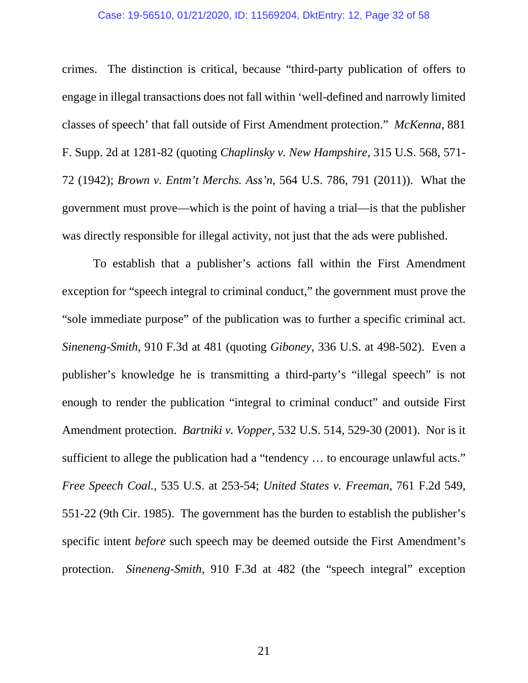#### Case: 19-56510, 01/21/2020, ID: 11569204, DktEntry: 12, Page 32 of 58

crimes. The distinction is critical, because "third-party publication of offers to engage in illegal transactions does not fall within 'well-defined and narrowly limited classes of speech' that fall outside of First Amendment protection." *McKenna*, 881 F. Supp. 2d at 1281-82 (quoting *Chaplinsky v. New Hampshire*, 315 U.S. 568, 571- 72 (1942); *Brown v. Entm't Merchs. Ass'n*, 564 U.S. 786, 791 (2011)). What the government must prove—which is the point of having a trial—is that the publisher was directly responsible for illegal activity, not just that the ads were published.

To establish that a publisher's actions fall within the First Amendment exception for "speech integral to criminal conduct," the government must prove the "sole immediate purpose" of the publication was to further a specific criminal act. *Sineneng-Smith*, 910 F.3d at 481 (quoting *Giboney*, 336 U.S. at 498-502). Even a publisher's knowledge he is transmitting a third-party's "illegal speech" is not enough to render the publication "integral to criminal conduct" and outside First Amendment protection. *Bartniki v. Vopper*, 532 U.S. 514, 529-30 (2001). Nor is it sufficient to allege the publication had a "tendency ... to encourage unlawful acts." *Free Speech Coal.*, 535 U.S. at 253-54; *United States v. Freeman*, 761 F.2d 549, 551-22 (9th Cir. 1985). The government has the burden to establish the publisher's specific intent *before* such speech may be deemed outside the First Amendment's protection. *Sineneng-Smith*, 910 F.3d at 482 (the "speech integral" exception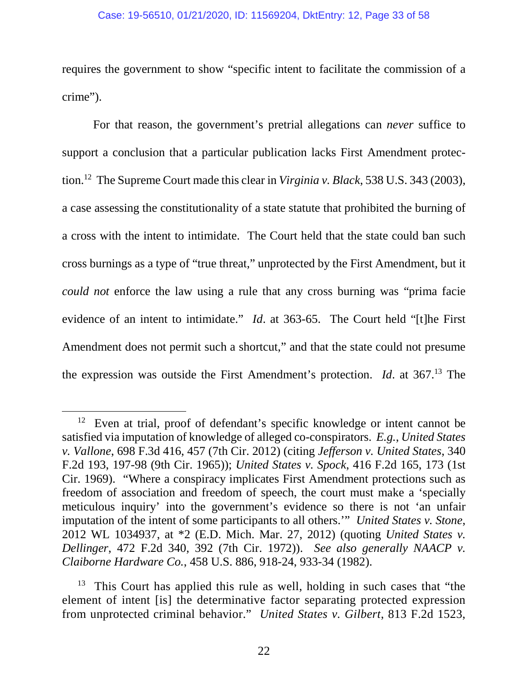#### Case: 19-56510, 01/21/2020, ID: 11569204, DktEntry: 12, Page 33 of 58

requires the government to show "specific intent to facilitate the commission of a crime").

For that reason, the government's pretrial allegations can *never* suffice to support a conclusion that a particular publication lacks First Amendment protection.<sup>12</sup> The Supreme Court made this clear in *Virginia v. Black*, 538 U.S. 343 (2003), a case assessing the constitutionality of a state statute that prohibited the burning of a cross with the intent to intimidate. The Court held that the state could ban such cross burnings as a type of "true threat," unprotected by the First Amendment, but it *could not* enforce the law using a rule that any cross burning was "prima facie evidence of an intent to intimidate." *Id*. at 363-65. The Court held "[t]he First Amendment does not permit such a shortcut," and that the state could not presume the expression was outside the First Amendment's protection. *Id*. at 367.<sup>13</sup> The

 $12$  Even at trial, proof of defendant's specific knowledge or intent cannot be satisfied via imputation of knowledge of alleged co-conspirators. *E.g.*, *United States v. Vallone*, 698 F.3d 416, 457 (7th Cir. 2012) (citing *Jefferson v. United States*, 340 F.2d 193, 197-98 (9th Cir. 1965)); *United States v. Spock*, 416 F.2d 165, 173 (1st Cir. 1969). "Where a conspiracy implicates First Amendment protections such as freedom of association and freedom of speech, the court must make a 'specially meticulous inquiry' into the government's evidence so there is not 'an unfair imputation of the intent of some participants to all others.'" *United States v. Stone*, 2012 WL 1034937, at \*2 (E.D. Mich. Mar. 27, 2012) (quoting *United States v. Dellinger*, 472 F.2d 340, 392 (7th Cir. 1972)). *See also generally NAACP v. Claiborne Hardware Co.*, 458 U.S. 886, 918-24, 933-34 (1982).

 $13$  This Court has applied this rule as well, holding in such cases that "the element of intent [is] the determinative factor separating protected expression from unprotected criminal behavior." *United States v. Gilbert*, 813 F.2d 1523,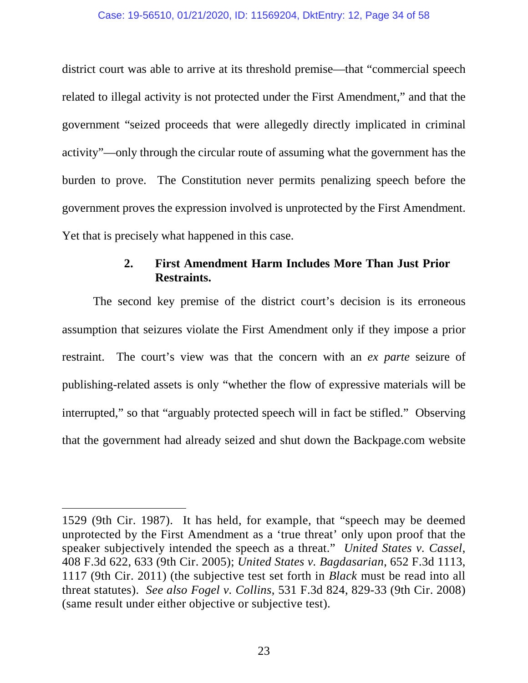district court was able to arrive at its threshold premise—that "commercial speech related to illegal activity is not protected under the First Amendment," and that the government "seized proceeds that were allegedly directly implicated in criminal activity"—only through the circular route of assuming what the government has the burden to prove. The Constitution never permits penalizing speech before the government proves the expression involved is unprotected by the First Amendment. Yet that is precisely what happened in this case.

## **2. First Amendment Harm Includes More Than Just Prior Restraints.**

The second key premise of the district court's decision is its erroneous assumption that seizures violate the First Amendment only if they impose a prior restraint. The court's view was that the concern with an *ex parte* seizure of publishing-related assets is only "whether the flow of expressive materials will be interrupted," so that "arguably protected speech will in fact be stifled." Observing that the government had already seized and shut down the Backpage.com website

<sup>1529 (9</sup>th Cir. 1987). It has held, for example, that "speech may be deemed unprotected by the First Amendment as a 'true threat' only upon proof that the speaker subjectively intended the speech as a threat." *United States v. Cassel*, 408 F.3d 622, 633 (9th Cir. 2005); *United States v. Bagdasarian*, 652 F.3d 1113, 1117 (9th Cir. 2011) (the subjective test set forth in *Black* must be read into all threat statutes). *See also Fogel v. Collins*, 531 F.3d 824, 829-33 (9th Cir. 2008) (same result under either objective or subjective test).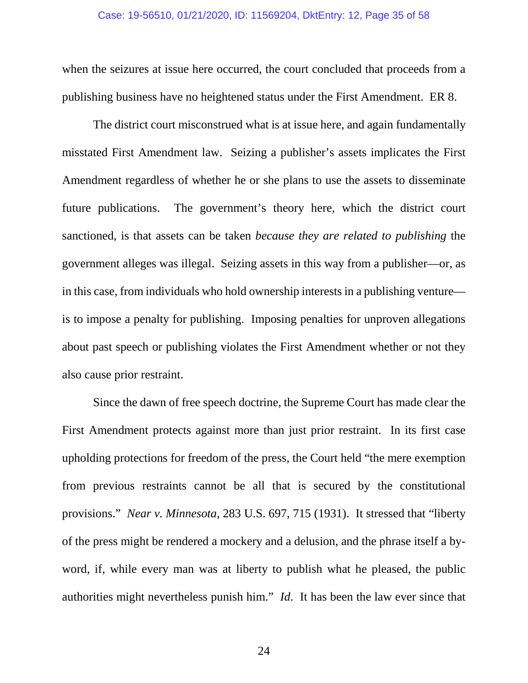when the seizures at issue here occurred, the court concluded that proceeds from a publishing business have no heightened status under the First Amendment. ER 8.

The district court misconstrued what is at issue here, and again fundamentally misstated First Amendment law. Seizing a publisher's assets implicates the First Amendment regardless of whether he or she plans to use the assets to disseminate future publications. The government's theory here, which the district court sanctioned, is that assets can be taken *because they are related to publishing* the government alleges was illegal. Seizing assets in this way from a publisher—or, as in this case, from individuals who hold ownership interests in a publishing venture is to impose a penalty for publishing. Imposing penalties for unproven allegations about past speech or publishing violates the First Amendment whether or not they also cause prior restraint.

Since the dawn of free speech doctrine, the Supreme Court has made clear the First Amendment protects against more than just prior restraint. In its first case upholding protections for freedom of the press, the Court held "the mere exemption from previous restraints cannot be all that is secured by the constitutional provisions." *Near v. Minnesota*, 283 U.S. 697, 715 (1931). It stressed that "liberty of the press might be rendered a mockery and a delusion, and the phrase itself a byword, if, while every man was at liberty to publish what he pleased, the public authorities might nevertheless punish him." *Id*. It has been the law ever since that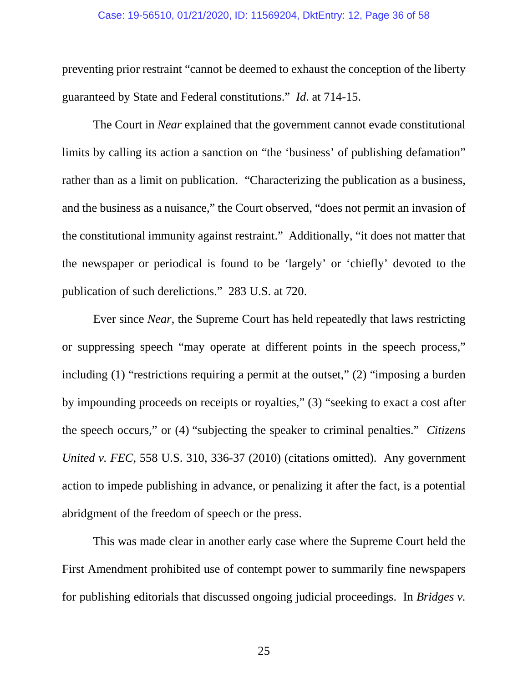#### Case: 19-56510, 01/21/2020, ID: 11569204, DktEntry: 12, Page 36 of 58

preventing prior restraint "cannot be deemed to exhaust the conception of the liberty guaranteed by State and Federal constitutions." *Id*. at 714-15.

The Court in *Near* explained that the government cannot evade constitutional limits by calling its action a sanction on "the 'business' of publishing defamation" rather than as a limit on publication. "Characterizing the publication as a business, and the business as a nuisance," the Court observed, "does not permit an invasion of the constitutional immunity against restraint." Additionally, "it does not matter that the newspaper or periodical is found to be 'largely' or 'chiefly' devoted to the publication of such derelictions." 283 U.S. at 720.

Ever since *Near*, the Supreme Court has held repeatedly that laws restricting or suppressing speech "may operate at different points in the speech process," including (1) "restrictions requiring a permit at the outset," (2) "imposing a burden by impounding proceeds on receipts or royalties," (3) "seeking to exact a cost after the speech occurs," or (4) "subjecting the speaker to criminal penalties." *Citizens United v. FEC*, 558 U.S. 310, 336-37 (2010) (citations omitted). Any government action to impede publishing in advance, or penalizing it after the fact, is a potential abridgment of the freedom of speech or the press.

This was made clear in another early case where the Supreme Court held the First Amendment prohibited use of contempt power to summarily fine newspapers for publishing editorials that discussed ongoing judicial proceedings. In *Bridges v.* 

25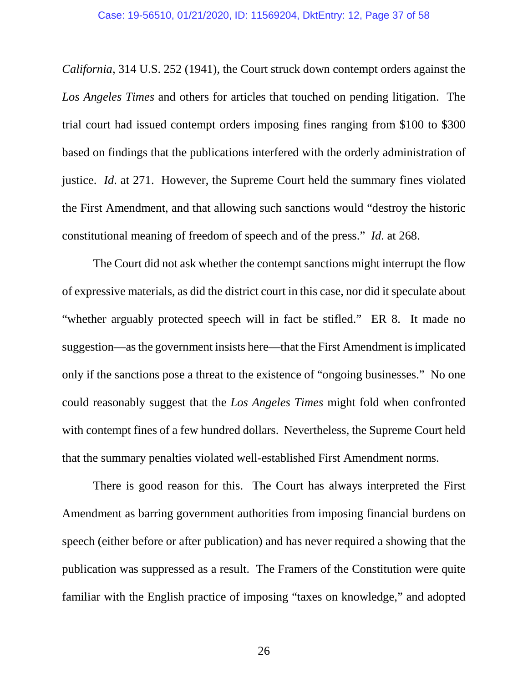*California*, 314 U.S. 252 (1941), the Court struck down contempt orders against the *Los Angeles Times* and others for articles that touched on pending litigation. The trial court had issued contempt orders imposing fines ranging from \$100 to \$300 based on findings that the publications interfered with the orderly administration of justice. *Id*. at 271. However, the Supreme Court held the summary fines violated the First Amendment, and that allowing such sanctions would "destroy the historic constitutional meaning of freedom of speech and of the press." *Id*. at 268.

The Court did not ask whether the contempt sanctions might interrupt the flow of expressive materials, as did the district court in this case, nor did it speculate about "whether arguably protected speech will in fact be stifled." ER 8. It made no suggestion—as the government insists here—that the First Amendment is implicated only if the sanctions pose a threat to the existence of "ongoing businesses." No one could reasonably suggest that the *Los Angeles Times* might fold when confronted with contempt fines of a few hundred dollars. Nevertheless, the Supreme Court held that the summary penalties violated well-established First Amendment norms.

There is good reason for this. The Court has always interpreted the First Amendment as barring government authorities from imposing financial burdens on speech (either before or after publication) and has never required a showing that the publication was suppressed as a result. The Framers of the Constitution were quite familiar with the English practice of imposing "taxes on knowledge," and adopted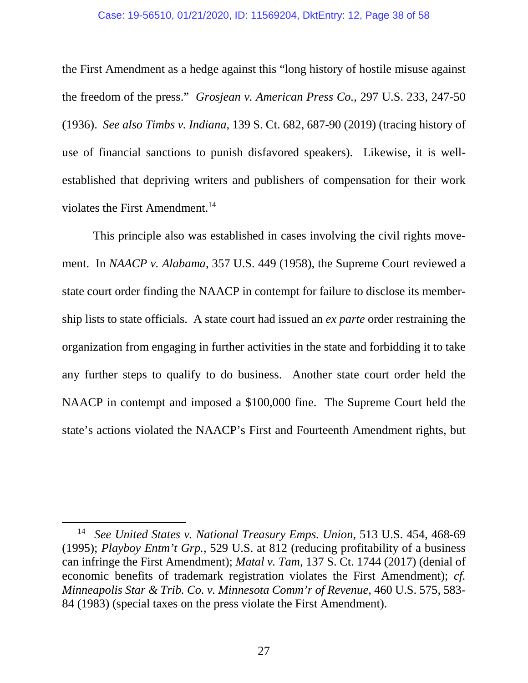#### Case: 19-56510, 01/21/2020, ID: 11569204, DktEntry: 12, Page 38 of 58

the First Amendment as a hedge against this "long history of hostile misuse against the freedom of the press." *Grosjean v. American Press Co.*, 297 U.S. 233, 247-50 (1936). *See also Timbs v. Indiana*, 139 S. Ct. 682, 687-90 (2019) (tracing history of use of financial sanctions to punish disfavored speakers). Likewise, it is wellestablished that depriving writers and publishers of compensation for their work violates the First Amendment.<sup>14</sup>

This principle also was established in cases involving the civil rights movement. In *NAACP v. Alabama*, 357 U.S. 449 (1958), the Supreme Court reviewed a state court order finding the NAACP in contempt for failure to disclose its membership lists to state officials. A state court had issued an *ex parte* order restraining the organization from engaging in further activities in the state and forbidding it to take any further steps to qualify to do business. Another state court order held the NAACP in contempt and imposed a \$100,000 fine. The Supreme Court held the state's actions violated the NAACP's First and Fourteenth Amendment rights, but

<sup>14</sup> *See United States v. National Treasury Emps. Union*, 513 U.S. 454, 468-69 (1995); *Playboy Entm't Grp.*, 529 U.S. at 812 (reducing profitability of a business can infringe the First Amendment); *Matal v. Tam*, 137 S. Ct. 1744 (2017) (denial of economic benefits of trademark registration violates the First Amendment); *cf. Minneapolis Star & Trib. Co. v. Minnesota Comm'r of Revenue*, 460 U.S. 575, 583- 84 (1983) (special taxes on the press violate the First Amendment).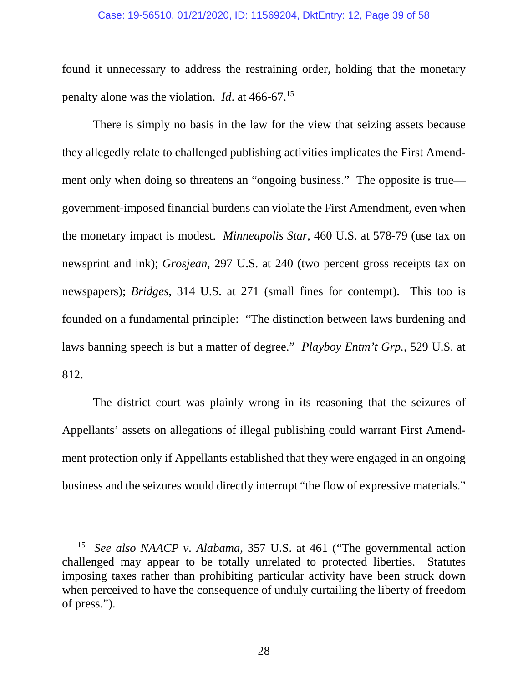#### Case: 19-56510, 01/21/2020, ID: 11569204, DktEntry: 12, Page 39 of 58

found it unnecessary to address the restraining order, holding that the monetary penalty alone was the violation. *Id*. at 466-67.<sup>15</sup>

There is simply no basis in the law for the view that seizing assets because they allegedly relate to challenged publishing activities implicates the First Amendment only when doing so threatens an "ongoing business." The opposite is true government-imposed financial burdens can violate the First Amendment, even when the monetary impact is modest. *Minneapolis Star*, 460 U.S. at 578-79 (use tax on newsprint and ink); *Grosjean*, 297 U.S. at 240 (two percent gross receipts tax on newspapers); *Bridges*, 314 U.S. at 271 (small fines for contempt). This too is founded on a fundamental principle: "The distinction between laws burdening and laws banning speech is but a matter of degree." *Playboy Entm't Grp.*, 529 U.S. at 812.

The district court was plainly wrong in its reasoning that the seizures of Appellants' assets on allegations of illegal publishing could warrant First Amendment protection only if Appellants established that they were engaged in an ongoing business and the seizures would directly interrupt "the flow of expressive materials."

<sup>15</sup> *See also NAACP v. Alabama*, 357 U.S. at 461 ("The governmental action challenged may appear to be totally unrelated to protected liberties. Statutes imposing taxes rather than prohibiting particular activity have been struck down when perceived to have the consequence of unduly curtailing the liberty of freedom of press.").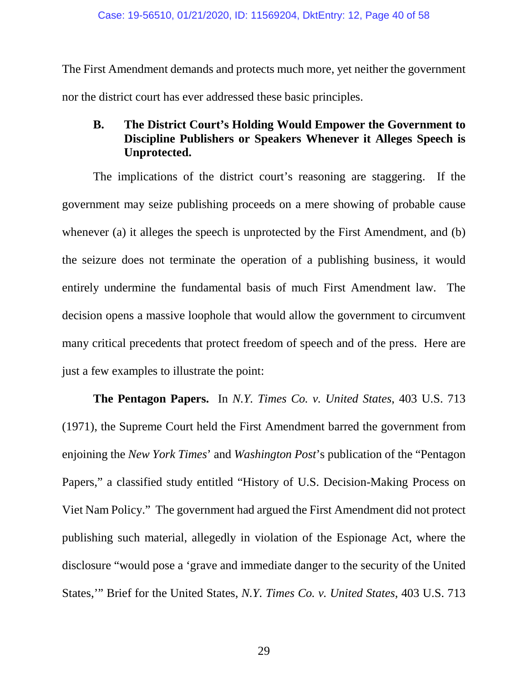The First Amendment demands and protects much more, yet neither the government nor the district court has ever addressed these basic principles.

# **B. The District Court's Holding Would Empower the Government to Discipline Publishers or Speakers Whenever it Alleges Speech is Unprotected.**

The implications of the district court's reasoning are staggering. If the government may seize publishing proceeds on a mere showing of probable cause whenever (a) it alleges the speech is unprotected by the First Amendment, and (b) the seizure does not terminate the operation of a publishing business, it would entirely undermine the fundamental basis of much First Amendment law. The decision opens a massive loophole that would allow the government to circumvent many critical precedents that protect freedom of speech and of the press. Here are just a few examples to illustrate the point:

**The Pentagon Papers.** In *N.Y. Times Co. v. United States*, 403 U.S. 713 (1971), the Supreme Court held the First Amendment barred the government from enjoining the *New York Times*' and *Washington Post*'s publication of the "Pentagon Papers," a classified study entitled "History of U.S. Decision-Making Process on Viet Nam Policy." The government had argued the First Amendment did not protect publishing such material, allegedly in violation of the Espionage Act, where the disclosure "would pose a 'grave and immediate danger to the security of the United States,'" Brief for the United States, *N.Y. Times Co. v. United States*, 403 U.S. 713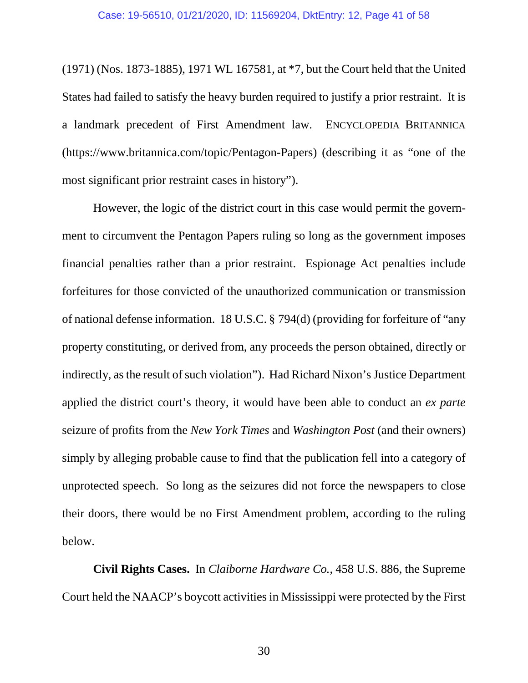(1971) (Nos. 1873-1885), 1971 WL 167581, at \*7, but the Court held that the United States had failed to satisfy the heavy burden required to justify a prior restraint. It is a landmark precedent of First Amendment law. ENCYCLOPEDIA BRITANNICA (https://www.britannica.com/topic/Pentagon-Papers) (describing it as "one of the most significant prior restraint cases in history").

However, the logic of the district court in this case would permit the government to circumvent the Pentagon Papers ruling so long as the government imposes financial penalties rather than a prior restraint. Espionage Act penalties include forfeitures for those convicted of the unauthorized communication or transmission of national defense information. 18 U.S.C. § 794(d) (providing for forfeiture of "any property constituting, or derived from, any proceeds the person obtained, directly or indirectly, as the result of such violation"). Had Richard Nixon's Justice Department applied the district court's theory, it would have been able to conduct an *ex parte* seizure of profits from the *New York Times* and *Washington Post* (and their owners) simply by alleging probable cause to find that the publication fell into a category of unprotected speech. So long as the seizures did not force the newspapers to close their doors, there would be no First Amendment problem, according to the ruling below.

**Civil Rights Cases.** In *Claiborne Hardware Co.*, 458 U.S. 886, the Supreme Court held the NAACP's boycott activities in Mississippi were protected by the First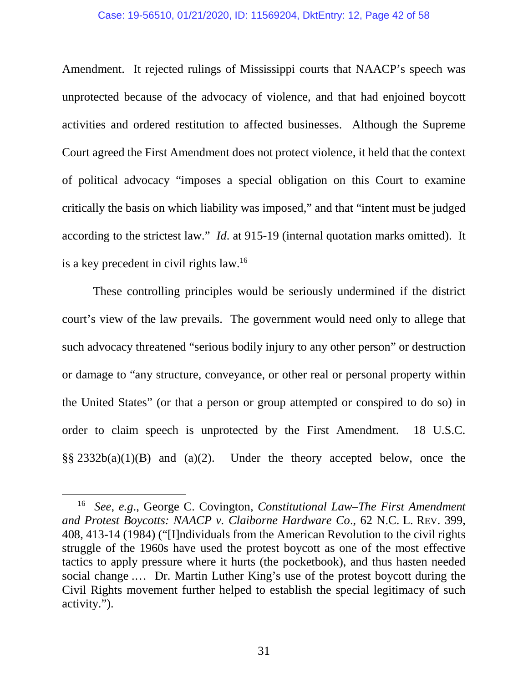#### Case: 19-56510, 01/21/2020, ID: 11569204, DktEntry: 12, Page 42 of 58

Amendment. It rejected rulings of Mississippi courts that NAACP's speech was unprotected because of the advocacy of violence, and that had enjoined boycott activities and ordered restitution to affected businesses. Although the Supreme Court agreed the First Amendment does not protect violence, it held that the context of political advocacy "imposes a special obligation on this Court to examine critically the basis on which liability was imposed," and that "intent must be judged according to the strictest law." *Id*. at 915-19 (internal quotation marks omitted). It is a key precedent in civil rights law.<sup>16</sup>

These controlling principles would be seriously undermined if the district court's view of the law prevails. The government would need only to allege that such advocacy threatened "serious bodily injury to any other person" or destruction or damage to "any structure, conveyance, or other real or personal property within the United States" (or that a person or group attempted or conspired to do so) in order to claim speech is unprotected by the First Amendment. 18 U.S.C. §§ 2332b(a)(1)(B) and (a)(2). Under the theory accepted below, once the

<sup>16</sup> *See*, *e.g*., George C. Covington, *Constitutional Law–The First Amendment and Protest Boycotts: NAACP v. Claiborne Hardware Co*., 62 N.C. L. REV. 399, 408, 413-14 (1984) ("[I]ndividuals from the American Revolution to the civil rights struggle of the 1960s have used the protest boycott as one of the most effective tactics to apply pressure where it hurts (the pocketbook), and thus hasten needed social change .… Dr. Martin Luther King's use of the protest boycott during the Civil Rights movement further helped to establish the special legitimacy of such activity.").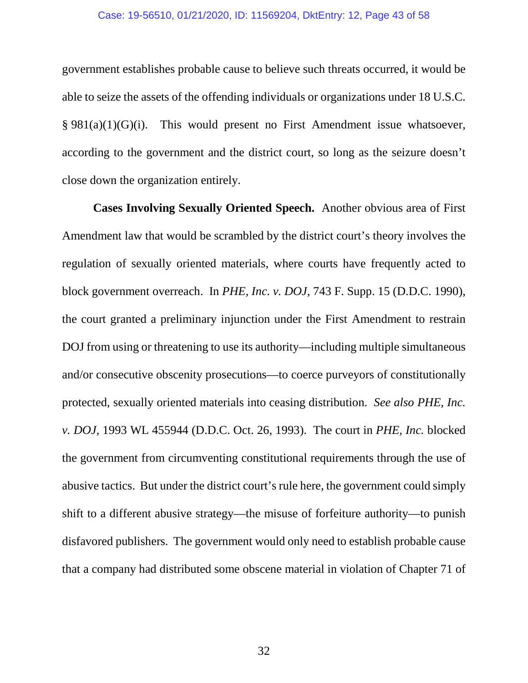#### Case: 19-56510, 01/21/2020, ID: 11569204, DktEntry: 12, Page 43 of 58

government establishes probable cause to believe such threats occurred, it would be able to seize the assets of the offending individuals or organizations under 18 U.S.C.  $§ 981(a)(1)(G)(i)$ . This would present no First Amendment issue whatsoever, according to the government and the district court, so long as the seizure doesn't close down the organization entirely.

**Cases Involving Sexually Oriented Speech.** Another obvious area of First Amendment law that would be scrambled by the district court's theory involves the regulation of sexually oriented materials, where courts have frequently acted to block government overreach. In *PHE, Inc. v. DOJ*, 743 F. Supp. 15 (D.D.C. 1990), the court granted a preliminary injunction under the First Amendment to restrain DOJ from using or threatening to use its authority—including multiple simultaneous and/or consecutive obscenity prosecutions—to coerce purveyors of constitutionally protected, sexually oriented materials into ceasing distribution. *See also PHE, Inc. v. DOJ*, 1993 WL 455944 (D.D.C. Oct. 26, 1993). The court in *PHE, Inc.* blocked the government from circumventing constitutional requirements through the use of abusive tactics. But under the district court's rule here, the government could simply shift to a different abusive strategy—the misuse of forfeiture authority—to punish disfavored publishers. The government would only need to establish probable cause that a company had distributed some obscene material in violation of Chapter 71 of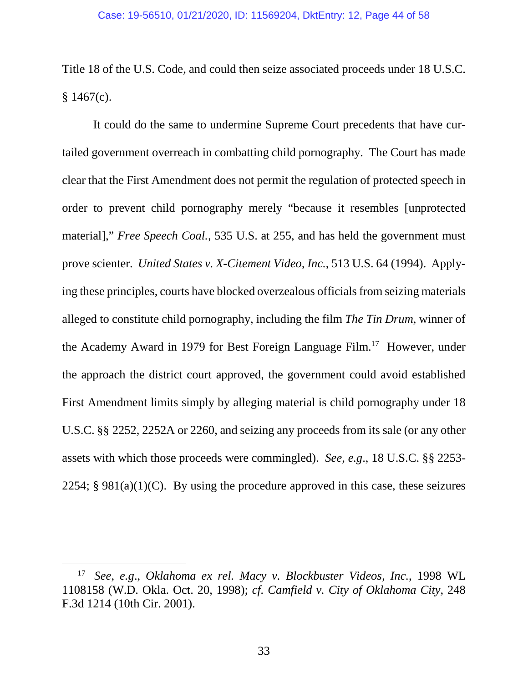Title 18 of the U.S. Code, and could then seize associated proceeds under 18 U.S.C.  $§ 1467(c).$ 

It could do the same to undermine Supreme Court precedents that have curtailed government overreach in combatting child pornography. The Court has made clear that the First Amendment does not permit the regulation of protected speech in order to prevent child pornography merely "because it resembles [unprotected material]," *Free Speech Coal.*, 535 U.S. at 255, and has held the government must prove scienter. *United States v. X-Citement Video, Inc.*, 513 U.S. 64 (1994). Applying these principles, courts have blocked overzealous officials from seizing materials alleged to constitute child pornography, including the film *The Tin Drum*, winner of the Academy Award in 1979 for Best Foreign Language Film.<sup>17</sup> However, under the approach the district court approved, the government could avoid established First Amendment limits simply by alleging material is child pornography under 18 U.S.C. §§ 2252, 2252A or 2260, and seizing any proceeds from its sale (or any other assets with which those proceeds were commingled). *See*, *e.g*., 18 U.S.C. §§ 2253- 2254;  $§$  981(a)(1)(C). By using the procedure approved in this case, these seizures

<sup>17</sup> *See*, *e.g*., *Oklahoma ex rel. Macy v. Blockbuster Videos, Inc.*, 1998 WL 1108158 (W.D. Okla. Oct. 20, 1998); *cf. Camfield v. City of Oklahoma City*, 248 F.3d 1214 (10th Cir. 2001).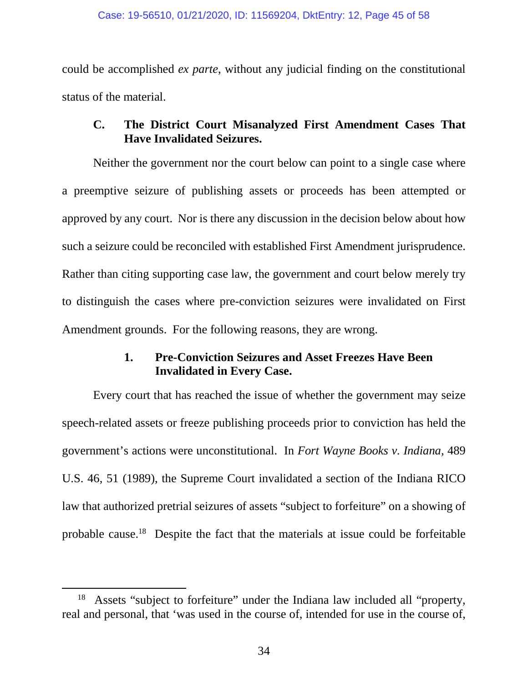could be accomplished *ex parte*, without any judicial finding on the constitutional status of the material.

# **C. The District Court Misanalyzed First Amendment Cases That Have Invalidated Seizures.**

Neither the government nor the court below can point to a single case where a preemptive seizure of publishing assets or proceeds has been attempted or approved by any court. Nor is there any discussion in the decision below about how such a seizure could be reconciled with established First Amendment jurisprudence. Rather than citing supporting case law, the government and court below merely try to distinguish the cases where pre-conviction seizures were invalidated on First Amendment grounds. For the following reasons, they are wrong.

# **1. Pre-Conviction Seizures and Asset Freezes Have Been Invalidated in Every Case.**

Every court that has reached the issue of whether the government may seize speech-related assets or freeze publishing proceeds prior to conviction has held the government's actions were unconstitutional. In *Fort Wayne Books v. Indiana*, 489 U.S. 46, 51 (1989), the Supreme Court invalidated a section of the Indiana RICO law that authorized pretrial seizures of assets "subject to forfeiture" on a showing of probable cause.<sup>18</sup> Despite the fact that the materials at issue could be forfeitable

<sup>&</sup>lt;sup>18</sup> Assets "subject to forfeiture" under the Indiana law included all "property, real and personal, that 'was used in the course of, intended for use in the course of,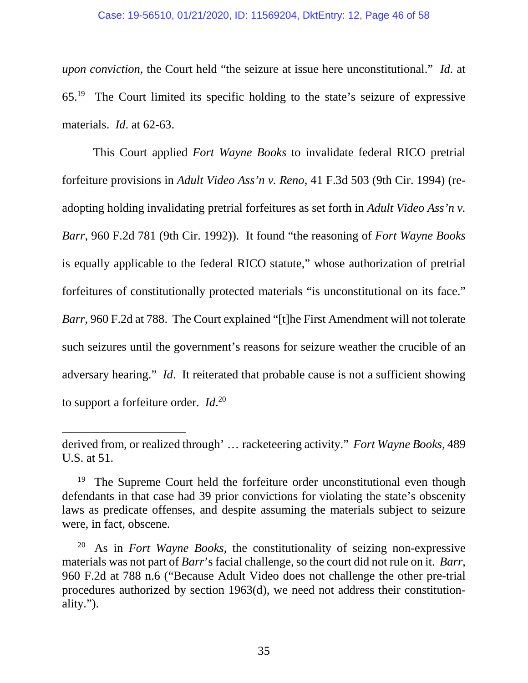#### Case: 19-56510, 01/21/2020, ID: 11569204, DktEntry: 12, Page 46 of 58

*upon conviction*, the Court held "the seizure at issue here unconstitutional." *Id.* at 65.<sup>19</sup> The Court limited its specific holding to the state's seizure of expressive materials. *Id*. at 62-63.

This Court applied *Fort Wayne Books* to invalidate federal RICO pretrial forfeiture provisions in *Adult Video Ass'n v. Reno*, 41 F.3d 503 (9th Cir. 1994) (readopting holding invalidating pretrial forfeitures as set forth in *Adult Video Ass'n v. Barr*, 960 F.2d 781 (9th Cir. 1992)). It found "the reasoning of *Fort Wayne Books* is equally applicable to the federal RICO statute," whose authorization of pretrial forfeitures of constitutionally protected materials "is unconstitutional on its face." *Barr*, 960 F.2d at 788. The Court explained "[t]he First Amendment will not tolerate such seizures until the government's reasons for seizure weather the crucible of an adversary hearing." *Id*. It reiterated that probable cause is not a sufficient showing to support a forfeiture order. *Id*. 20

derived from, or realized through' … racketeering activity." *Fort Wayne Books*, 489 U.S. at 51.

<sup>&</sup>lt;sup>19</sup> The Supreme Court held the forfeiture order unconstitutional even though defendants in that case had 39 prior convictions for violating the state's obscenity laws as predicate offenses, and despite assuming the materials subject to seizure were, in fact, obscene.

<sup>20</sup> As in *Fort Wayne Books,* the constitutionality of seizing non-expressive materials was not part of *Barr*'s facial challenge, so the court did not rule on it. *Barr*, 960 F.2d at 788 n.6 ("Because Adult Video does not challenge the other pre-trial procedures authorized by section 1963(d), we need not address their constitutionality.").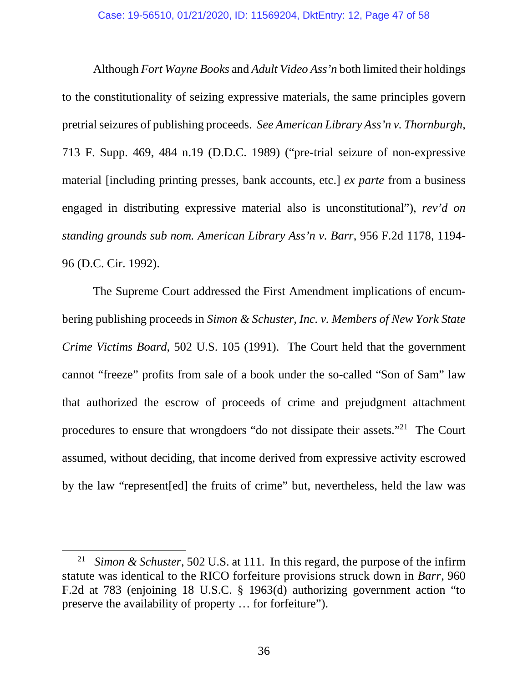Although *Fort Wayne Books* and *Adult Video Ass'n* both limited their holdings to the constitutionality of seizing expressive materials, the same principles govern pretrial seizures of publishing proceeds. *See American Library Ass'n v. Thornburgh*, 713 F. Supp. 469, 484 n.19 (D.D.C. 1989) ("pre-trial seizure of non-expressive material [including printing presses, bank accounts, etc.] *ex parte* from a business engaged in distributing expressive material also is unconstitutional"), *rev'd on standing grounds sub nom. American Library Ass'n v. Barr*, 956 F.2d 1178, 1194- 96 (D.C. Cir. 1992).

The Supreme Court addressed the First Amendment implications of encumbering publishing proceeds in *Simon & Schuster, Inc. v. Members of New York State Crime Victims Board*, 502 U.S. 105 (1991). The Court held that the government cannot "freeze" profits from sale of a book under the so-called "Son of Sam" law that authorized the escrow of proceeds of crime and prejudgment attachment procedures to ensure that wrongdoers "do not dissipate their assets."<sup>21</sup> The Court assumed, without deciding, that income derived from expressive activity escrowed by the law "represent[ed] the fruits of crime" but, nevertheless, held the law was

<sup>21</sup> *Simon & Schuster*, 502 U.S. at 111. In this regard, the purpose of the infirm statute was identical to the RICO forfeiture provisions struck down in *Barr*, 960 F.2d at 783 (enjoining 18 U.S.C. § 1963(d) authorizing government action "to preserve the availability of property … for forfeiture").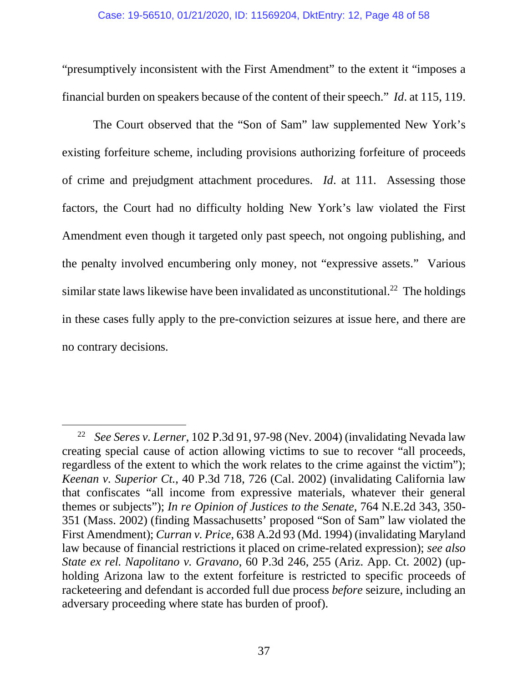"presumptively inconsistent with the First Amendment" to the extent it "imposes a financial burden on speakers because of the content of their speech." *Id*. at 115, 119.

The Court observed that the "Son of Sam" law supplemented New York's existing forfeiture scheme, including provisions authorizing forfeiture of proceeds of crime and prejudgment attachment procedures. *Id*. at 111. Assessing those factors, the Court had no difficulty holding New York's law violated the First Amendment even though it targeted only past speech, not ongoing publishing, and the penalty involved encumbering only money, not "expressive assets." Various similar state laws likewise have been invalidated as unconstitutional.<sup>22</sup> The holdings in these cases fully apply to the pre-conviction seizures at issue here, and there are no contrary decisions.

<sup>22</sup> *See Seres v. Lerner*, 102 P.3d 91, 97-98 (Nev. 2004) (invalidating Nevada law creating special cause of action allowing victims to sue to recover "all proceeds, regardless of the extent to which the work relates to the crime against the victim"); *Keenan v. Superior Ct.*, 40 P.3d 718, 726 (Cal. 2002) (invalidating California law that confiscates "all income from expressive materials, whatever their general themes or subjects"); *In re Opinion of Justices to the Senate*, 764 N.E.2d 343, 350- 351 (Mass. 2002) (finding Massachusetts' proposed "Son of Sam" law violated the First Amendment); *Curran v. Price*, 638 A.2d 93 (Md. 1994) (invalidating Maryland law because of financial restrictions it placed on crime-related expression); *see also State ex rel. Napolitano v. Gravano*, 60 P.3d 246, 255 (Ariz. App. Ct. 2002) (upholding Arizona law to the extent forfeiture is restricted to specific proceeds of racketeering and defendant is accorded full due process *before* seizure, including an adversary proceeding where state has burden of proof).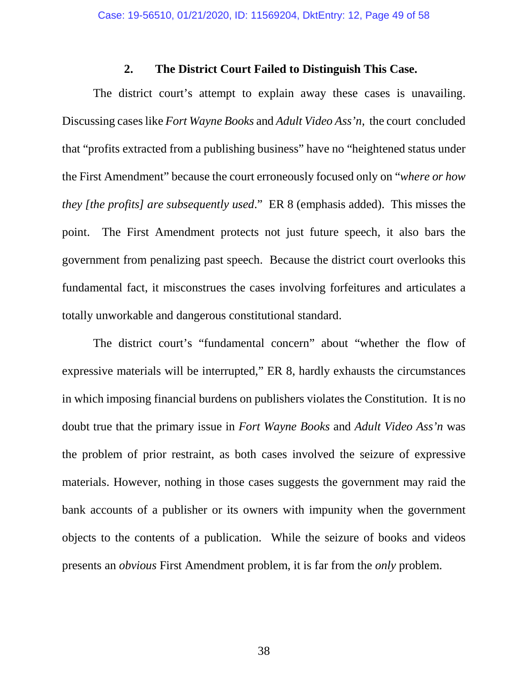### **2. The District Court Failed to Distinguish This Case.**

The district court's attempt to explain away these cases is unavailing. Discussing cases like *Fort Wayne Books* and *Adult Video Ass'n*, the court concluded that "profits extracted from a publishing business" have no "heightened status under the First Amendment" because the court erroneously focused only on "*where or how they [the profits] are subsequently used*." ER 8 (emphasis added). This misses the point. The First Amendment protects not just future speech, it also bars the government from penalizing past speech. Because the district court overlooks this fundamental fact, it misconstrues the cases involving forfeitures and articulates a totally unworkable and dangerous constitutional standard.

The district court's "fundamental concern" about "whether the flow of expressive materials will be interrupted," ER 8, hardly exhausts the circumstances in which imposing financial burdens on publishers violates the Constitution. It is no doubt true that the primary issue in *Fort Wayne Books* and *Adult Video Ass'n* was the problem of prior restraint, as both cases involved the seizure of expressive materials. However, nothing in those cases suggests the government may raid the bank accounts of a publisher or its owners with impunity when the government objects to the contents of a publication. While the seizure of books and videos presents an *obvious* First Amendment problem, it is far from the *only* problem.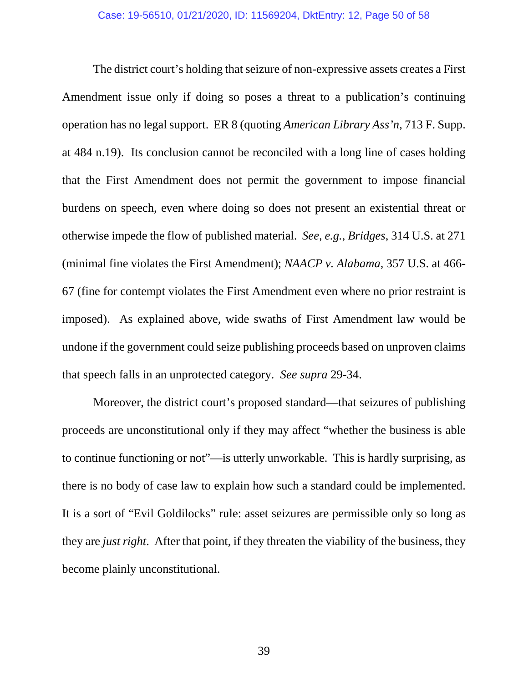The district court's holding that seizure of non-expressive assets creates a First Amendment issue only if doing so poses a threat to a publication's continuing operation has no legal support. ER 8 (quoting *American Library Ass'n*, 713 F. Supp. at 484 n.19). Its conclusion cannot be reconciled with a long line of cases holding that the First Amendment does not permit the government to impose financial burdens on speech, even where doing so does not present an existential threat or otherwise impede the flow of published material. *See*, *e.g.*, *Bridges*, 314 U.S. at 271 (minimal fine violates the First Amendment); *NAACP v. Alabama*, 357 U.S. at 466- 67 (fine for contempt violates the First Amendment even where no prior restraint is imposed). As explained above, wide swaths of First Amendment law would be undone if the government could seize publishing proceeds based on unproven claims that speech falls in an unprotected category. *See supra* 29-34.

Moreover, the district court's proposed standard—that seizures of publishing proceeds are unconstitutional only if they may affect "whether the business is able to continue functioning or not"—is utterly unworkable. This is hardly surprising, as there is no body of case law to explain how such a standard could be implemented. It is a sort of "Evil Goldilocks" rule: asset seizures are permissible only so long as they are *just right*. After that point, if they threaten the viability of the business, they become plainly unconstitutional.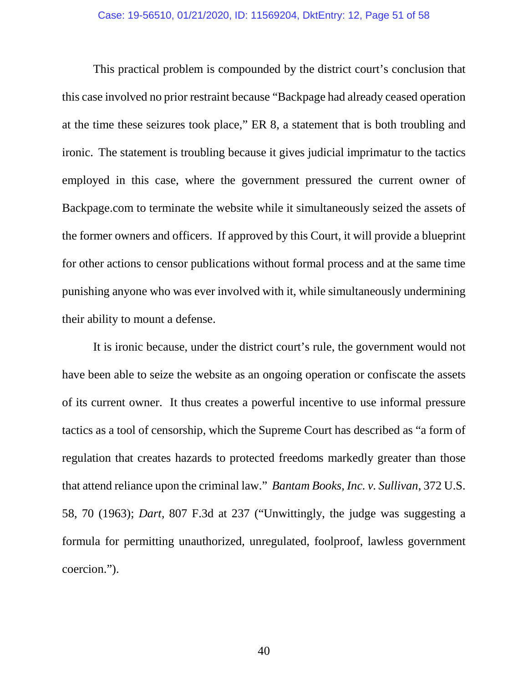This practical problem is compounded by the district court's conclusion that this case involved no prior restraint because "Backpage had already ceased operation at the time these seizures took place," ER 8, a statement that is both troubling and ironic. The statement is troubling because it gives judicial imprimatur to the tactics employed in this case, where the government pressured the current owner of Backpage.com to terminate the website while it simultaneously seized the assets of the former owners and officers. If approved by this Court, it will provide a blueprint for other actions to censor publications without formal process and at the same time punishing anyone who was ever involved with it, while simultaneously undermining their ability to mount a defense.

It is ironic because, under the district court's rule, the government would not have been able to seize the website as an ongoing operation or confiscate the assets of its current owner. It thus creates a powerful incentive to use informal pressure tactics as a tool of censorship, which the Supreme Court has described as "a form of regulation that creates hazards to protected freedoms markedly greater than those that attend reliance upon the criminal law." *Bantam Books, Inc. v. Sullivan*, 372 U.S. 58, 70 (1963); *Dart*, 807 F.3d at 237 ("Unwittingly, the judge was suggesting a formula for permitting unauthorized, unregulated, foolproof, lawless government coercion.").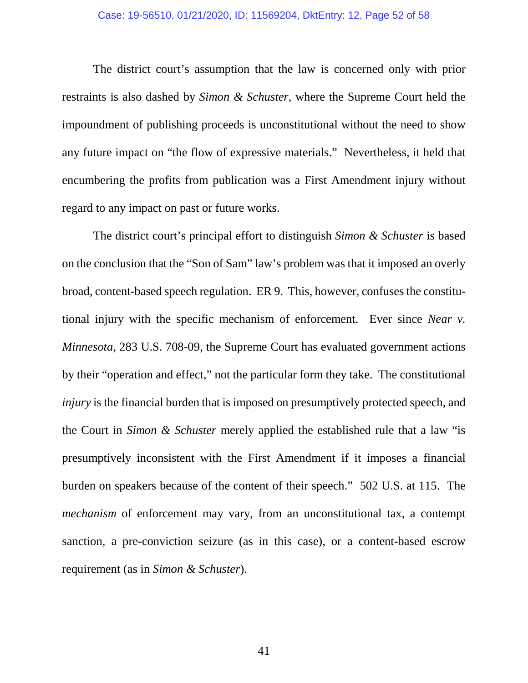#### Case: 19-56510, 01/21/2020, ID: 11569204, DktEntry: 12, Page 52 of 58

The district court's assumption that the law is concerned only with prior restraints is also dashed by *Simon & Schuster,* where the Supreme Court held the impoundment of publishing proceeds is unconstitutional without the need to show any future impact on "the flow of expressive materials." Nevertheless, it held that encumbering the profits from publication was a First Amendment injury without regard to any impact on past or future works.

The district court's principal effort to distinguish *Simon & Schuster* is based on the conclusion that the "Son of Sam" law's problem was that it imposed an overly broad, content-based speech regulation. ER 9. This, however, confuses the constitutional injury with the specific mechanism of enforcement. Ever since *Near v. Minnesota*, 283 U.S. 708-09, the Supreme Court has evaluated government actions by their "operation and effect," not the particular form they take. The constitutional *injury* is the financial burden that is imposed on presumptively protected speech, and the Court in *Simon & Schuster* merely applied the established rule that a law "is presumptively inconsistent with the First Amendment if it imposes a financial burden on speakers because of the content of their speech." 502 U.S. at 115. The *mechanism* of enforcement may vary, from an unconstitutional tax, a contempt sanction, a pre-conviction seizure (as in this case), or a content-based escrow requirement (as in *Simon & Schuster*).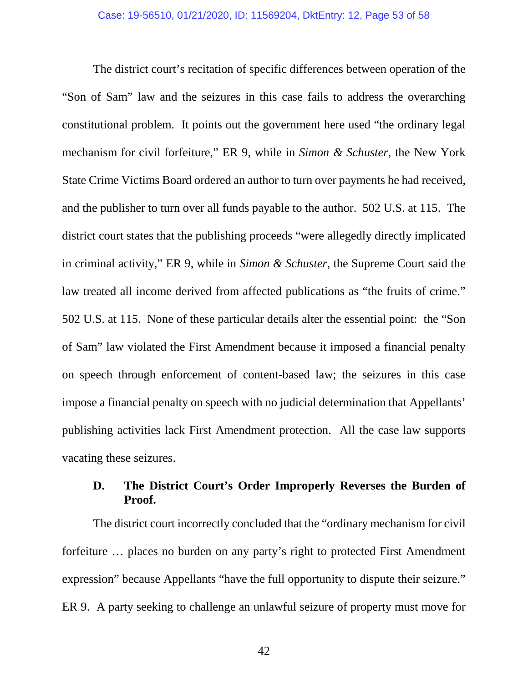The district court's recitation of specific differences between operation of the "Son of Sam" law and the seizures in this case fails to address the overarching constitutional problem. It points out the government here used "the ordinary legal mechanism for civil forfeiture," ER 9, while in *Simon & Schuster*, the New York State Crime Victims Board ordered an author to turn over payments he had received, and the publisher to turn over all funds payable to the author. 502 U.S. at 115. The district court states that the publishing proceeds "were allegedly directly implicated in criminal activity," ER 9, while in *Simon & Schuster*, the Supreme Court said the law treated all income derived from affected publications as "the fruits of crime." 502 U.S. at 115. None of these particular details alter the essential point: the "Son of Sam" law violated the First Amendment because it imposed a financial penalty on speech through enforcement of content-based law; the seizures in this case impose a financial penalty on speech with no judicial determination that Appellants' publishing activities lack First Amendment protection. All the case law supports vacating these seizures.

# **D. The District Court's Order Improperly Reverses the Burden of Proof.**

The district court incorrectly concluded that the "ordinary mechanism for civil forfeiture … places no burden on any party's right to protected First Amendment expression" because Appellants "have the full opportunity to dispute their seizure." ER 9. A party seeking to challenge an unlawful seizure of property must move for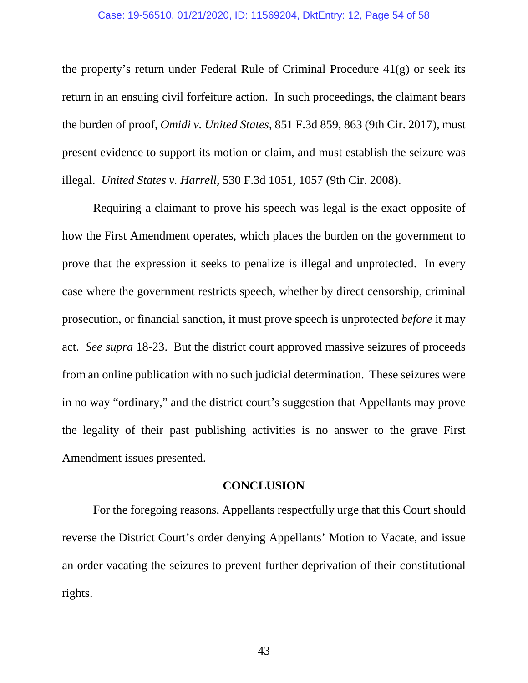#### Case: 19-56510, 01/21/2020, ID: 11569204, DktEntry: 12, Page 54 of 58

the property's return under Federal Rule of Criminal Procedure 41(g) or seek its return in an ensuing civil forfeiture action. In such proceedings, the claimant bears the burden of proof, *Omidi v. United States*, 851 F.3d 859, 863 (9th Cir. 2017), must present evidence to support its motion or claim, and must establish the seizure was illegal. *United States v. Harrell*, 530 F.3d 1051, 1057 (9th Cir. 2008).

Requiring a claimant to prove his speech was legal is the exact opposite of how the First Amendment operates, which places the burden on the government to prove that the expression it seeks to penalize is illegal and unprotected. In every case where the government restricts speech, whether by direct censorship, criminal prosecution, or financial sanction, it must prove speech is unprotected *before* it may act. *See supra* 18-23. But the district court approved massive seizures of proceeds from an online publication with no such judicial determination. These seizures were in no way "ordinary," and the district court's suggestion that Appellants may prove the legality of their past publishing activities is no answer to the grave First Amendment issues presented.

### **CONCLUSION**

For the foregoing reasons, Appellants respectfully urge that this Court should reverse the District Court's order denying Appellants' Motion to Vacate, and issue an order vacating the seizures to prevent further deprivation of their constitutional rights.

43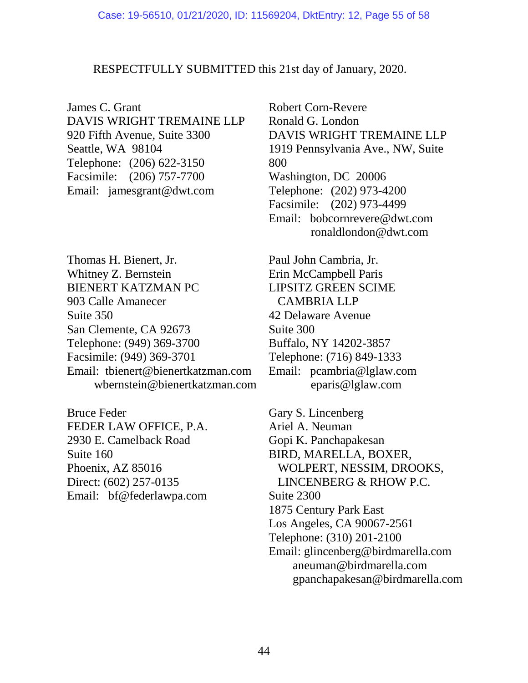## RESPECTFULLY SUBMITTED this 21st day of January, 2020.

James C. Grant DAVIS WRIGHT TREMAINE LLP 920 Fifth Avenue, Suite 3300 Seattle, WA 98104 Telephone: (206) 622-3150 Facsimile: (206) 757-7700 Email: jamesgrant@dwt.com

Thomas H. Bienert, Jr. Whitney Z. Bernstein BIENERT KATZMAN PC 903 Calle Amanecer Suite 350 San Clemente, CA 92673 Telephone: (949) 369-3700 Facsimile: (949) 369-3701 Email: tbienert@bienertkatzman.com wbernstein@bienertkatzman.com

Bruce Feder FEDER LAW OFFICE, P.A. 2930 E. Camelback Road Suite 160 Phoenix, AZ 85016 Direct: (602) 257-0135 Email: bf@federlawpa.com

Robert Corn-Revere Ronald G. London DAVIS WRIGHT TREMAINE LLP 1919 Pennsylvania Ave., NW, Suite 800 Washington, DC 20006 Telephone: (202) 973-4200 Facsimile: (202) 973-4499 Email: bobcornrevere@dwt.com ronaldlondon@dwt.com

Paul John Cambria, Jr. Erin McCampbell Paris LIPSITZ GREEN SCIME CAMBRIA LLP 42 Delaware Avenue Suite 300 Buffalo, NY 14202-3857 Telephone: (716) 849-1333 Email: pcambria@lglaw.com eparis@lglaw.com

Gary S. Lincenberg Ariel A. Neuman Gopi K. Panchapakesan BIRD, MARELLA, BOXER, WOLPERT, NESSIM, DROOKS, LINCENBERG & RHOW P.C. Suite 2300 1875 Century Park East Los Angeles, CA 90067-2561 Telephone: (310) 201-2100 Email: glincenberg@birdmarella.com aneuman@birdmarella.com gpanchapakesan@birdmarella.com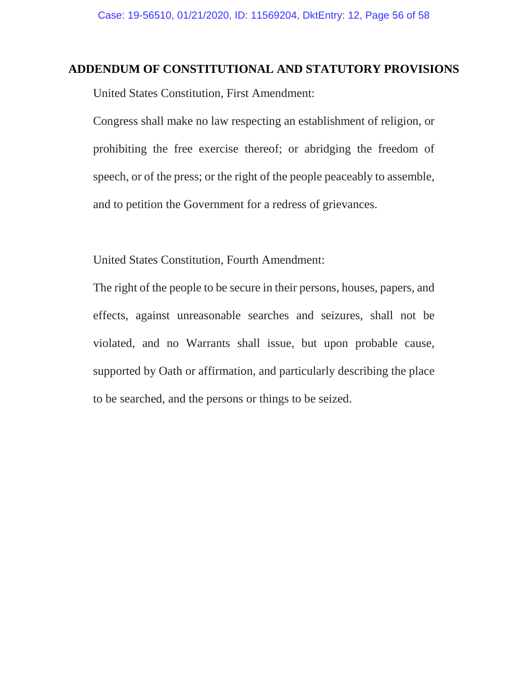## **ADDENDUM OF CONSTITUTIONAL AND STATUTORY PROVISIONS**

United States Constitution, First Amendment:

Congress shall make no law respecting an establishment of religion, or prohibiting the free exercise thereof; or abridging the freedom of speech, or of the press; or the right of the people peaceably to assemble, and to petition the Government for a redress of grievances.

United States Constitution, Fourth Amendment:

The right of the people to be secure in their persons, houses, papers, and effects, against unreasonable searches and seizures, shall not be violated, and no Warrants shall issue, but upon probable cause, supported by Oath or affirmation, and particularly describing the place to be searched, and the persons or things to be seized.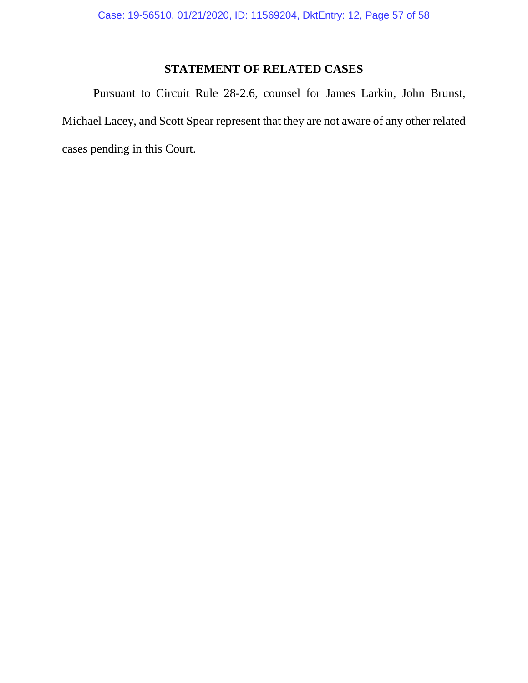# **STATEMENT OF RELATED CASES**

Pursuant to Circuit Rule 28-2.6, counsel for James Larkin, John Brunst, Michael Lacey, and Scott Spear represent that they are not aware of any other related cases pending in this Court.